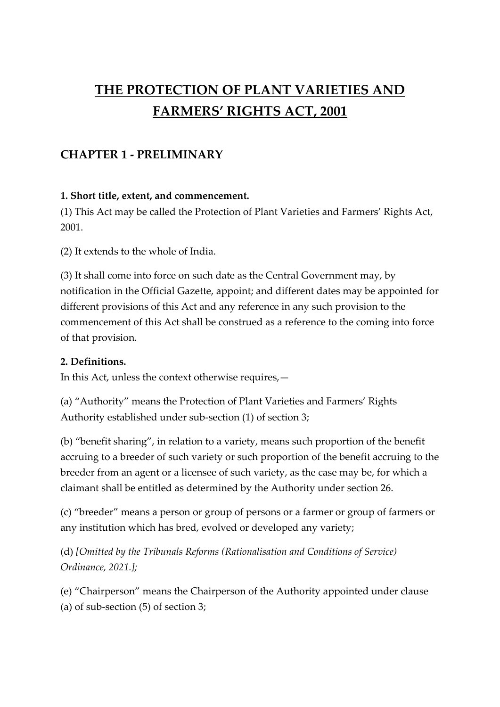# **THE PROTECTION OF PLANT VARIETIES AND FARMERS' RIGHTS ACT, 2001**

# **CHAPTER 1 - PRELIMINARY**

#### **1. Short title, extent, and commencement.**

(1) This Act may be called the Protection of Plant Varieties and Farmers' Rights Act, 2001.

(2) It extends to the whole of India.

(3) It shall come into force on such date as the Central Government may, by notification in the Official Gazette, appoint; and different dates may be appointed for different provisions of this Act and any reference in any such provision to the commencement of this Act shall be construed as a reference to the coming into force of that provision.

#### **2. Definitions.**

In this Act, unless the context otherwise requires,—

(a) "Authority" means the Protection of Plant Varieties and Farmers' Rights Authority established under sub-section (1) of section 3;

(b) "benefit sharing", in relation to a variety, means such proportion of the benefit accruing to a breeder of such variety or such proportion of the benefit accruing to the breeder from an agent or a licensee of such variety, as the case may be, for which a claimant shall be entitled as determined by the Authority under section 26.

(c) "breeder" means a person or group of persons or a farmer or group of farmers or any institution which has bred, evolved or developed any variety;

(d) *[Omitted by the Tribunals Reforms (Rationalisation and Conditions of Service) Ordinance, 2021.];*

(e) "Chairperson" means the Chairperson of the Authority appointed under clause (a) of sub-section (5) of section 3;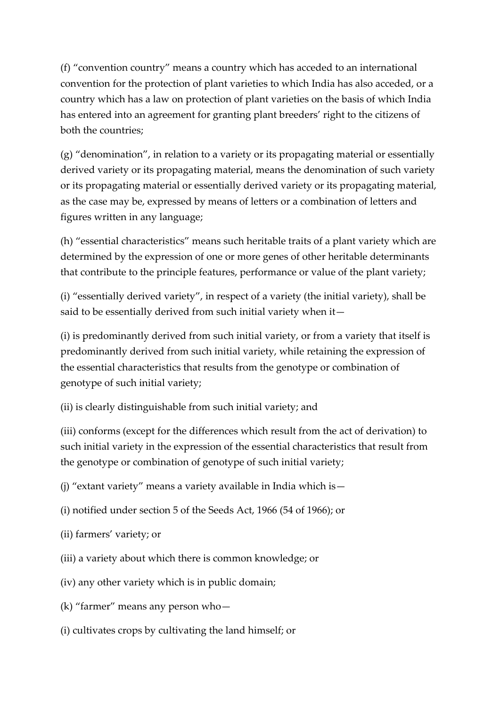(f) "convention country" means a country which has acceded to an international convention for the protection of plant varieties to which India has also acceded, or a country which has a law on protection of plant varieties on the basis of which India has entered into an agreement for granting plant breeders' right to the citizens of both the countries;

(g) "denomination", in relation to a variety or its propagating material or essentially derived variety or its propagating material, means the denomination of such variety or its propagating material or essentially derived variety or its propagating material, as the case may be, expressed by means of letters or a combination of letters and figures written in any language;

(h) "essential characteristics" means such heritable traits of a plant variety which are determined by the expression of one or more genes of other heritable determinants that contribute to the principle features, performance or value of the plant variety;

(i) "essentially derived variety", in respect of a variety (the initial variety), shall be said to be essentially derived from such initial variety when it—

(i) is predominantly derived from such initial variety, or from a variety that itself is predominantly derived from such initial variety, while retaining the expression of the essential characteristics that results from the genotype or combination of genotype of such initial variety;

(ii) is clearly distinguishable from such initial variety; and

(iii) conforms (except for the differences which result from the act of derivation) to such initial variety in the expression of the essential characteristics that result from the genotype or combination of genotype of such initial variety;

(j) "extant variety" means a variety available in India which is—

- (i) notified under section 5 of the Seeds Act, 1966 (54 of 1966); or
- (ii) farmers' variety; or
- (iii) a variety about which there is common knowledge; or
- (iv) any other variety which is in public domain;
- (k) "farmer" means any person who—
- (i) cultivates crops by cultivating the land himself; or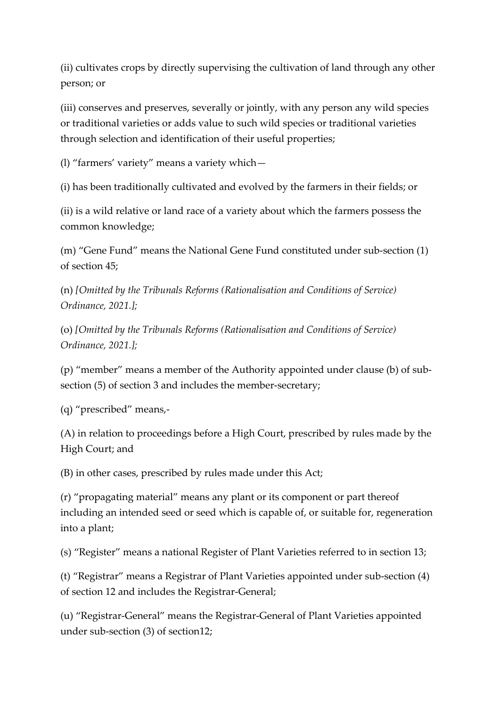(ii) cultivates crops by directly supervising the cultivation of land through any other person; or

(iii) conserves and preserves, severally or jointly, with any person any wild species or traditional varieties or adds value to such wild species or traditional varieties through selection and identification of their useful properties;

(l) "farmers' variety" means a variety which—

(i) has been traditionally cultivated and evolved by the farmers in their fields; or

(ii) is a wild relative or land race of a variety about which the farmers possess the common knowledge;

(m) "Gene Fund" means the National Gene Fund constituted under sub-section (1) of section 45;

(n) *[Omitted by the Tribunals Reforms (Rationalisation and Conditions of Service) Ordinance, 2021.];*

(o) *[Omitted by the Tribunals Reforms (Rationalisation and Conditions of Service) Ordinance, 2021.];*

(p) "member" means a member of the Authority appointed under clause (b) of subsection (5) of section 3 and includes the member-secretary;

(q) "prescribed" means,-

(A) in relation to proceedings before a High Court, prescribed by rules made by the High Court; and

(B) in other cases, prescribed by rules made under this Act;

(r) "propagating material" means any plant or its component or part thereof including an intended seed or seed which is capable of, or suitable for, regeneration into a plant;

(s) "Register" means a national Register of Plant Varieties referred to in section 13;

(t) "Registrar" means a Registrar of Plant Varieties appointed under sub-section (4) of section 12 and includes the Registrar-General;

(u) "Registrar-General" means the Registrar-General of Plant Varieties appointed under sub-section (3) of section12;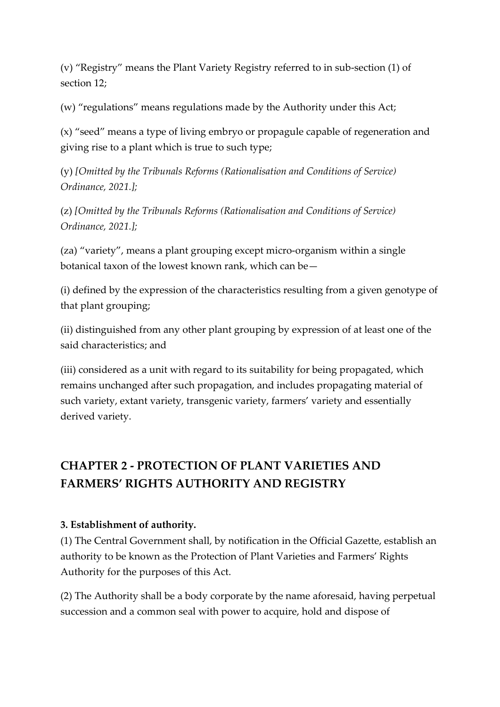(v) "Registry" means the Plant Variety Registry referred to in sub-section (1) of section 12;

(w) "regulations" means regulations made by the Authority under this Act;

(x) "seed" means a type of living embryo or propagule capable of regeneration and giving rise to a plant which is true to such type;

(y) *[Omitted by the Tribunals Reforms (Rationalisation and Conditions of Service) Ordinance, 2021.];*

(z) *[Omitted by the Tribunals Reforms (Rationalisation and Conditions of Service) Ordinance, 2021.];*

(za) "variety", means a plant grouping except micro-organism within a single botanical taxon of the lowest known rank, which can be—

(i) defined by the expression of the characteristics resulting from a given genotype of that plant grouping;

(ii) distinguished from any other plant grouping by expression of at least one of the said characteristics; and

(iii) considered as a unit with regard to its suitability for being propagated, which remains unchanged after such propagation, and includes propagating material of such variety, extant variety, transgenic variety, farmers' variety and essentially derived variety.

# **CHAPTER 2 - PROTECTION OF PLANT VARIETIES AND FARMERS' RIGHTS AUTHORITY AND REGISTRY**

# **3. Establishment of authority.**

(1) The Central Government shall, by notification in the Official Gazette, establish an authority to be known as the Protection of Plant Varieties and Farmers' Rights Authority for the purposes of this Act.

(2) The Authority shall be a body corporate by the name aforesaid, having perpetual succession and a common seal with power to acquire, hold and dispose of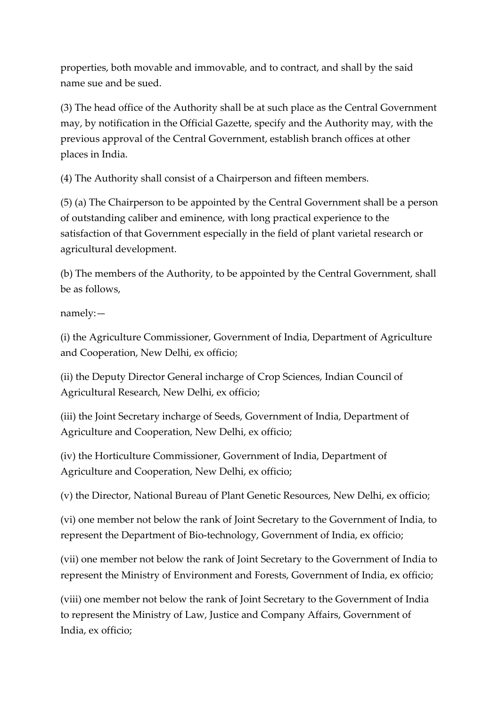properties, both movable and immovable, and to contract, and shall by the said name sue and be sued.

(3) The head office of the Authority shall be at such place as the Central Government may, by notification in the Official Gazette, specify and the Authority may, with the previous approval of the Central Government, establish branch offices at other places in India.

(4) The Authority shall consist of a Chairperson and fifteen members.

(5) (a) The Chairperson to be appointed by the Central Government shall be a person of outstanding caliber and eminence, with long practical experience to the satisfaction of that Government especially in the field of plant varietal research or agricultural development.

(b) The members of the Authority, to be appointed by the Central Government, shall be as follows,

namely:—

(i) the Agriculture Commissioner, Government of India, Department of Agriculture and Cooperation, New Delhi, ex officio;

(ii) the Deputy Director General incharge of Crop Sciences, Indian Council of Agricultural Research, New Delhi, ex officio;

(iii) the Joint Secretary incharge of Seeds, Government of India, Department of Agriculture and Cooperation, New Delhi, ex officio;

(iv) the Horticulture Commissioner, Government of India, Department of Agriculture and Cooperation, New Delhi, ex officio;

(v) the Director, National Bureau of Plant Genetic Resources, New Delhi, ex officio;

(vi) one member not below the rank of Joint Secretary to the Government of India, to represent the Department of Bio-technology, Government of India, ex officio;

(vii) one member not below the rank of Joint Secretary to the Government of India to represent the Ministry of Environment and Forests, Government of India, ex officio;

(viii) one member not below the rank of Joint Secretary to the Government of India to represent the Ministry of Law, Justice and Company Affairs, Government of India, ex officio;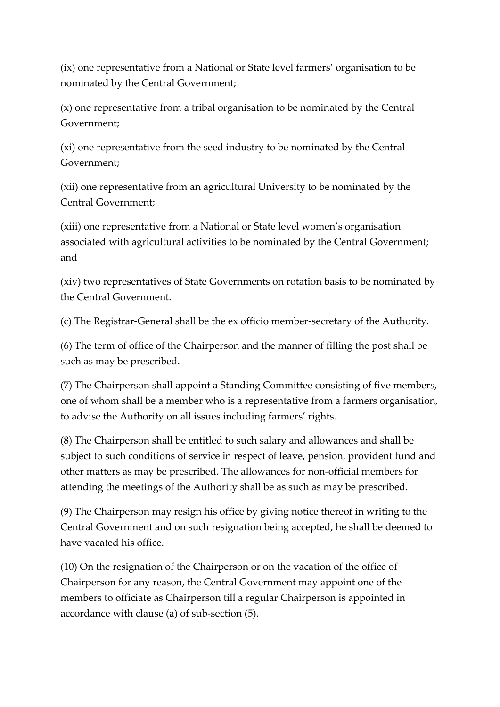(ix) one representative from a National or State level farmers' organisation to be nominated by the Central Government;

(x) one representative from a tribal organisation to be nominated by the Central Government;

(xi) one representative from the seed industry to be nominated by the Central Government;

(xii) one representative from an agricultural University to be nominated by the Central Government;

(xiii) one representative from a National or State level women's organisation associated with agricultural activities to be nominated by the Central Government; and

(xiv) two representatives of State Governments on rotation basis to be nominated by the Central Government.

(c) The Registrar-General shall be the ex officio member-secretary of the Authority.

(6) The term of office of the Chairperson and the manner of filling the post shall be such as may be prescribed.

(7) The Chairperson shall appoint a Standing Committee consisting of five members, one of whom shall be a member who is a representative from a farmers organisation, to advise the Authority on all issues including farmers' rights.

(8) The Chairperson shall be entitled to such salary and allowances and shall be subject to such conditions of service in respect of leave, pension, provident fund and other matters as may be prescribed. The allowances for non-official members for attending the meetings of the Authority shall be as such as may be prescribed.

(9) The Chairperson may resign his office by giving notice thereof in writing to the Central Government and on such resignation being accepted, he shall be deemed to have vacated his office.

(10) On the resignation of the Chairperson or on the vacation of the office of Chairperson for any reason, the Central Government may appoint one of the members to officiate as Chairperson till a regular Chairperson is appointed in accordance with clause (a) of sub-section (5).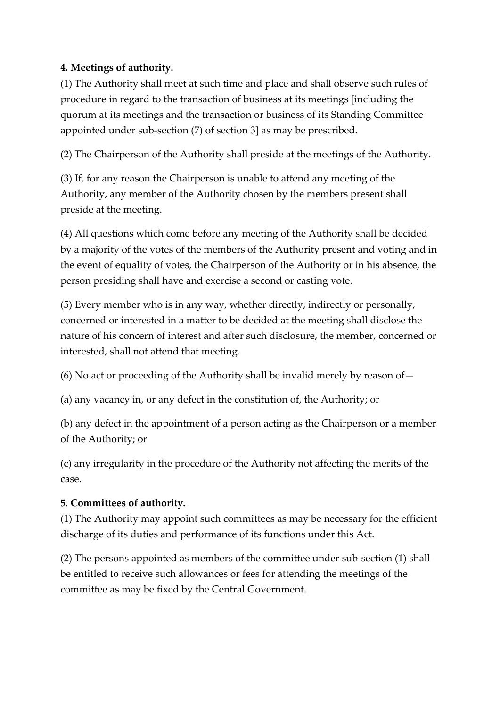# **4. Meetings of authority.**

(1) The Authority shall meet at such time and place and shall observe such rules of procedure in regard to the transaction of business at its meetings [including the quorum at its meetings and the transaction or business of its Standing Committee appointed under sub-section (7) of section 3] as may be prescribed.

(2) The Chairperson of the Authority shall preside at the meetings of the Authority.

(3) If, for any reason the Chairperson is unable to attend any meeting of the Authority, any member of the Authority chosen by the members present shall preside at the meeting.

(4) All questions which come before any meeting of the Authority shall be decided by a majority of the votes of the members of the Authority present and voting and in the event of equality of votes, the Chairperson of the Authority or in his absence, the person presiding shall have and exercise a second or casting vote.

(5) Every member who is in any way, whether directly, indirectly or personally, concerned or interested in a matter to be decided at the meeting shall disclose the nature of his concern of interest and after such disclosure, the member, concerned or interested, shall not attend that meeting.

(6) No act or proceeding of the Authority shall be invalid merely by reason of—

(a) any vacancy in, or any defect in the constitution of, the Authority; or

(b) any defect in the appointment of a person acting as the Chairperson or a member of the Authority; or

(c) any irregularity in the procedure of the Authority not affecting the merits of the case.

#### **5. Committees of authority.**

(1) The Authority may appoint such committees as may be necessary for the efficient discharge of its duties and performance of its functions under this Act.

(2) The persons appointed as members of the committee under sub-section (1) shall be entitled to receive such allowances or fees for attending the meetings of the committee as may be fixed by the Central Government.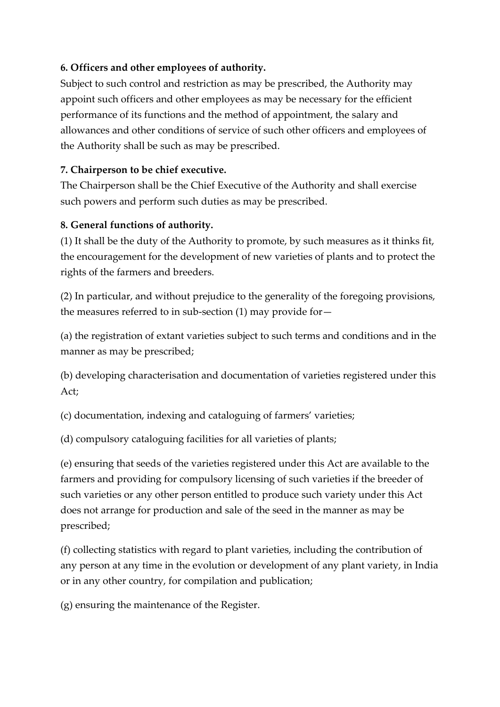# **6. Officers and other employees of authority.**

Subject to such control and restriction as may be prescribed, the Authority may appoint such officers and other employees as may be necessary for the efficient performance of its functions and the method of appointment, the salary and allowances and other conditions of service of such other officers and employees of the Authority shall be such as may be prescribed.

#### **7. Chairperson to be chief executive.**

The Chairperson shall be the Chief Executive of the Authority and shall exercise such powers and perform such duties as may be prescribed.

#### **8. General functions of authority.**

(1) It shall be the duty of the Authority to promote, by such measures as it thinks fit, the encouragement for the development of new varieties of plants and to protect the rights of the farmers and breeders.

(2) In particular, and without prejudice to the generality of the foregoing provisions, the measures referred to in sub-section (1) may provide for—

(a) the registration of extant varieties subject to such terms and conditions and in the manner as may be prescribed;

(b) developing characterisation and documentation of varieties registered under this Act;

(c) documentation, indexing and cataloguing of farmers' varieties;

(d) compulsory cataloguing facilities for all varieties of plants;

(e) ensuring that seeds of the varieties registered under this Act are available to the farmers and providing for compulsory licensing of such varieties if the breeder of such varieties or any other person entitled to produce such variety under this Act does not arrange for production and sale of the seed in the manner as may be prescribed;

(f) collecting statistics with regard to plant varieties, including the contribution of any person at any time in the evolution or development of any plant variety, in India or in any other country, for compilation and publication;

(g) ensuring the maintenance of the Register.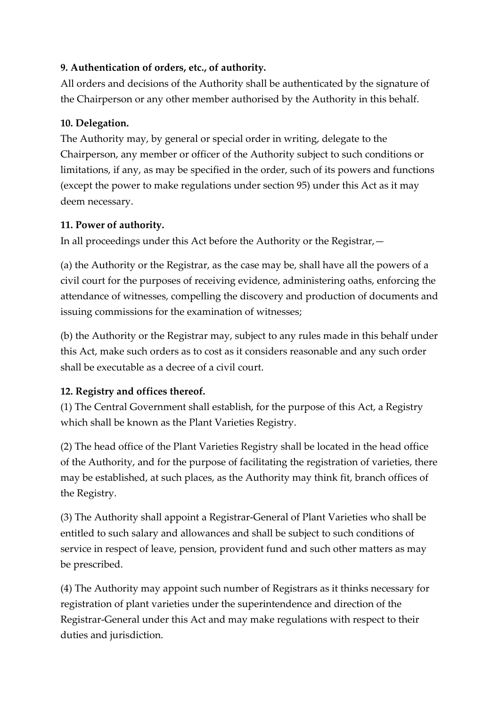## **9. Authentication of orders, etc., of authority.**

All orders and decisions of the Authority shall be authenticated by the signature of the Chairperson or any other member authorised by the Authority in this behalf.

## **10. Delegation.**

The Authority may, by general or special order in writing, delegate to the Chairperson, any member or officer of the Authority subject to such conditions or limitations, if any, as may be specified in the order, such of its powers and functions (except the power to make regulations under section 95) under this Act as it may deem necessary.

## **11. Power of authority.**

In all proceedings under this Act before the Authority or the Registrar,—

(a) the Authority or the Registrar, as the case may be, shall have all the powers of a civil court for the purposes of receiving evidence, administering oaths, enforcing the attendance of witnesses, compelling the discovery and production of documents and issuing commissions for the examination of witnesses;

(b) the Authority or the Registrar may, subject to any rules made in this behalf under this Act, make such orders as to cost as it considers reasonable and any such order shall be executable as a decree of a civil court.

# **12. Registry and offices thereof.**

(1) The Central Government shall establish, for the purpose of this Act, a Registry which shall be known as the Plant Varieties Registry.

(2) The head office of the Plant Varieties Registry shall be located in the head office of the Authority, and for the purpose of facilitating the registration of varieties, there may be established, at such places, as the Authority may think fit, branch offices of the Registry.

(3) The Authority shall appoint a Registrar-General of Plant Varieties who shall be entitled to such salary and allowances and shall be subject to such conditions of service in respect of leave, pension, provident fund and such other matters as may be prescribed.

(4) The Authority may appoint such number of Registrars as it thinks necessary for registration of plant varieties under the superintendence and direction of the Registrar-General under this Act and may make regulations with respect to their duties and jurisdiction.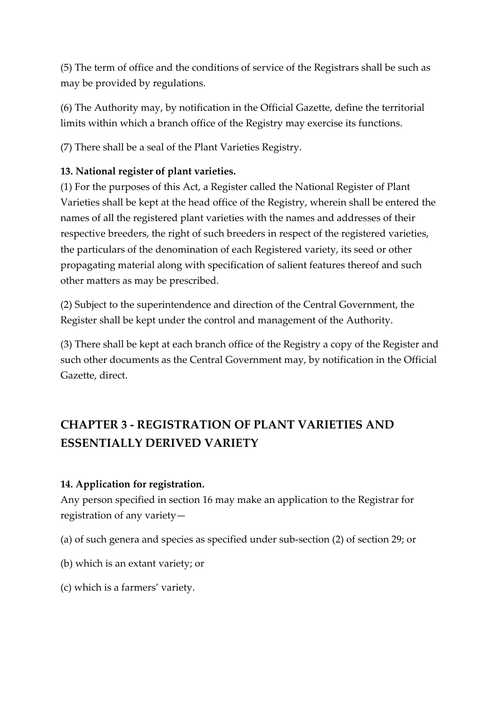(5) The term of office and the conditions of service of the Registrars shall be such as may be provided by regulations.

(6) The Authority may, by notification in the Official Gazette, define the territorial limits within which a branch office of the Registry may exercise its functions.

(7) There shall be a seal of the Plant Varieties Registry.

# **13. National register of plant varieties.**

(1) For the purposes of this Act, a Register called the National Register of Plant Varieties shall be kept at the head office of the Registry, wherein shall be entered the names of all the registered plant varieties with the names and addresses of their respective breeders, the right of such breeders in respect of the registered varieties, the particulars of the denomination of each Registered variety, its seed or other propagating material along with specification of salient features thereof and such other matters as may be prescribed.

(2) Subject to the superintendence and direction of the Central Government, the Register shall be kept under the control and management of the Authority.

(3) There shall be kept at each branch office of the Registry a copy of the Register and such other documents as the Central Government may, by notification in the Official Gazette, direct.

# **CHAPTER 3 - REGISTRATION OF PLANT VARIETIES AND ESSENTIALLY DERIVED VARIETY**

# **14. Application for registration.**

Any person specified in section 16 may make an application to the Registrar for registration of any variety—

- (a) of such genera and species as specified under sub-section (2) of section 29; or
- (b) which is an extant variety; or
- (c) which is a farmers' variety.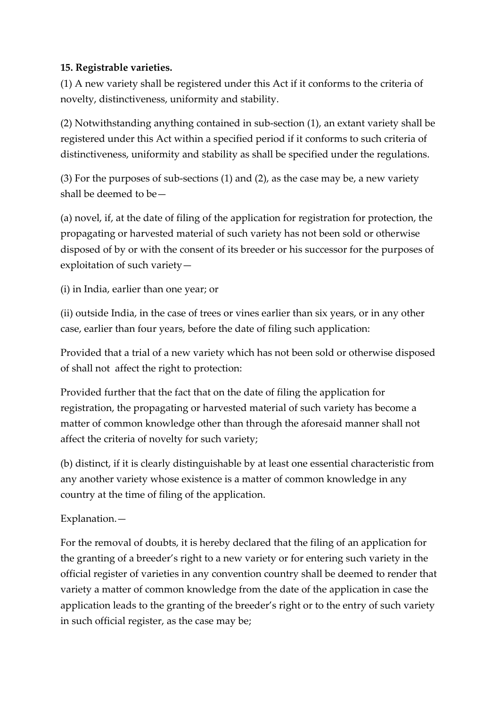## **15. Registrable varieties.**

(1) A new variety shall be registered under this Act if it conforms to the criteria of novelty, distinctiveness, uniformity and stability.

(2) Notwithstanding anything contained in sub-section (1), an extant variety shall be registered under this Act within a specified period if it conforms to such criteria of distinctiveness, uniformity and stability as shall be specified under the regulations.

(3) For the purposes of sub-sections (1) and (2), as the case may be, a new variety shall be deemed to be—

(a) novel, if, at the date of filing of the application for registration for protection, the propagating or harvested material of such variety has not been sold or otherwise disposed of by or with the consent of its breeder or his successor for the purposes of exploitation of such variety—

(i) in India, earlier than one year; or

(ii) outside India, in the case of trees or vines earlier than six years, or in any other case, earlier than four years, before the date of filing such application:

Provided that a trial of a new variety which has not been sold or otherwise disposed of shall not affect the right to protection:

Provided further that the fact that on the date of filing the application for registration, the propagating or harvested material of such variety has become a matter of common knowledge other than through the aforesaid manner shall not affect the criteria of novelty for such variety;

(b) distinct, if it is clearly distinguishable by at least one essential characteristic from any another variety whose existence is a matter of common knowledge in any country at the time of filing of the application.

Explanation.—

For the removal of doubts, it is hereby declared that the filing of an application for the granting of a breeder's right to a new variety or for entering such variety in the official register of varieties in any convention country shall be deemed to render that variety a matter of common knowledge from the date of the application in case the application leads to the granting of the breeder's right or to the entry of such variety in such official register, as the case may be;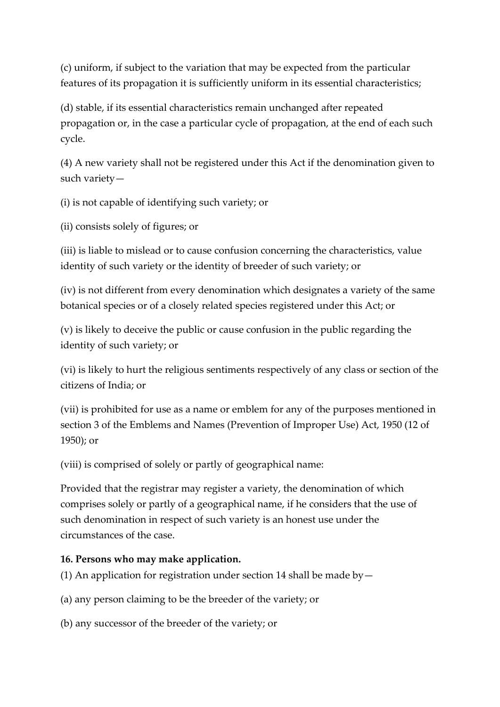(c) uniform, if subject to the variation that may be expected from the particular features of its propagation it is sufficiently uniform in its essential characteristics;

(d) stable, if its essential characteristics remain unchanged after repeated propagation or, in the case a particular cycle of propagation, at the end of each such cycle.

(4) A new variety shall not be registered under this Act if the denomination given to such variety—

(i) is not capable of identifying such variety; or

(ii) consists solely of figures; or

(iii) is liable to mislead or to cause confusion concerning the characteristics, value identity of such variety or the identity of breeder of such variety; or

(iv) is not different from every denomination which designates a variety of the same botanical species or of a closely related species registered under this Act; or

(v) is likely to deceive the public or cause confusion in the public regarding the identity of such variety; or

(vi) is likely to hurt the religious sentiments respectively of any class or section of the citizens of India; or

(vii) is prohibited for use as a name or emblem for any of the purposes mentioned in section 3 of the Emblems and Names (Prevention of Improper Use) Act, 1950 (12 of 1950); or

(viii) is comprised of solely or partly of geographical name:

Provided that the registrar may register a variety, the denomination of which comprises solely or partly of a geographical name, if he considers that the use of such denomination in respect of such variety is an honest use under the circumstances of the case.

#### **16. Persons who may make application.**

(1) An application for registration under section 14 shall be made by  $-$ 

(a) any person claiming to be the breeder of the variety; or

(b) any successor of the breeder of the variety; or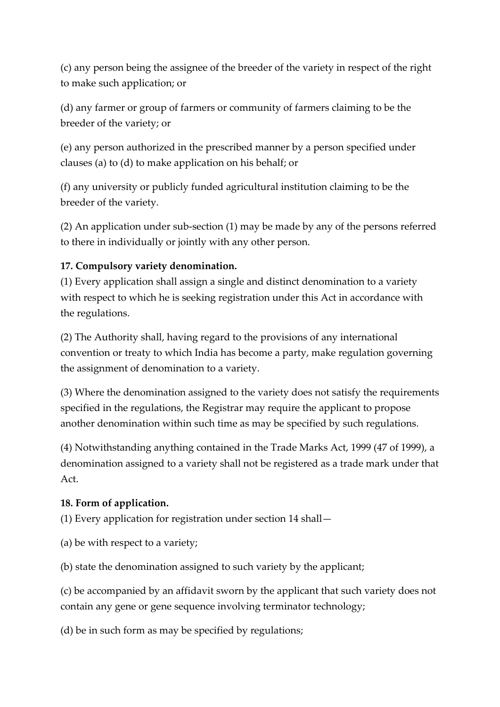(c) any person being the assignee of the breeder of the variety in respect of the right to make such application; or

(d) any farmer or group of farmers or community of farmers claiming to be the breeder of the variety; or

(e) any person authorized in the prescribed manner by a person specified under clauses (a) to (d) to make application on his behalf; or

(f) any university or publicly funded agricultural institution claiming to be the breeder of the variety.

(2) An application under sub-section (1) may be made by any of the persons referred to there in individually or jointly with any other person.

# **17. Compulsory variety denomination.**

(1) Every application shall assign a single and distinct denomination to a variety with respect to which he is seeking registration under this Act in accordance with the regulations.

(2) The Authority shall, having regard to the provisions of any international convention or treaty to which India has become a party, make regulation governing the assignment of denomination to a variety.

(3) Where the denomination assigned to the variety does not satisfy the requirements specified in the regulations, the Registrar may require the applicant to propose another denomination within such time as may be specified by such regulations.

(4) Notwithstanding anything contained in the Trade Marks Act, 1999 (47 of 1999), a denomination assigned to a variety shall not be registered as a trade mark under that Act.

# **18. Form of application.**

(1) Every application for registration under section 14 shall—

(a) be with respect to a variety;

(b) state the denomination assigned to such variety by the applicant;

(c) be accompanied by an affidavit sworn by the applicant that such variety does not contain any gene or gene sequence involving terminator technology;

(d) be in such form as may be specified by regulations;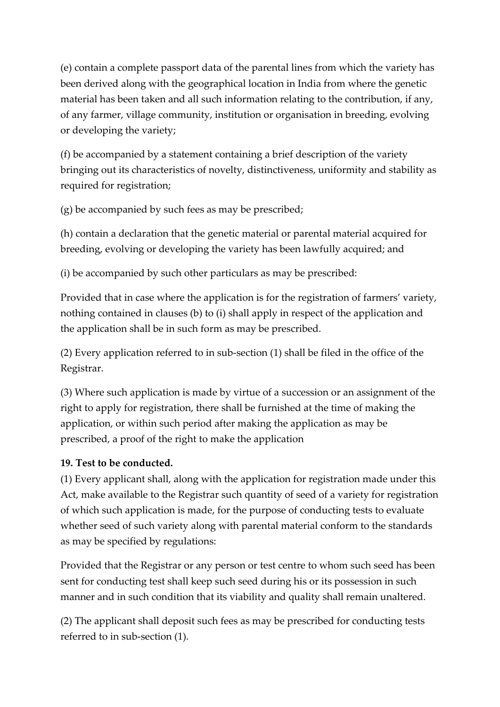(e) contain a complete passport data of the parental lines from which the variety has been derived along with the geographical location in India from where the genetic material has been taken and all such information relating to the contribution, if any, of any farmer, village community, institution or organisation in breeding, evolving or developing the variety;

(f) be accompanied by a statement containing a brief description of the variety bringing out its characteristics of novelty, distinctiveness, uniformity and stability as required for registration;

(g) be accompanied by such fees as may be prescribed;

(h) contain a declaration that the genetic material or parental material acquired for breeding, evolving or developing the variety has been lawfully acquired; and

(i) be accompanied by such other particulars as may be prescribed:

Provided that in case where the application is for the registration of farmers' variety, nothing contained in clauses (b) to (i) shall apply in respect of the application and the application shall be in such form as may be prescribed.

(2) Every application referred to in sub-section (1) shall be filed in the office of the Registrar.

(3) Where such application is made by virtue of a succession or an assignment of the right to apply for registration, there shall be furnished at the time of making the application, or within such period after making the application as may be prescribed, a proof of the right to make the application

# **19. Test to be conducted.**

(1) Every applicant shall, along with the application for registration made under this Act, make available to the Registrar such quantity of seed of a variety for registration of which such application is made, for the purpose of conducting tests to evaluate whether seed of such variety along with parental material conform to the standards as may be specified by regulations:

Provided that the Registrar or any person or test centre to whom such seed has been sent for conducting test shall keep such seed during his or its possession in such manner and in such condition that its viability and quality shall remain unaltered.

(2) The applicant shall deposit such fees as may be prescribed for conducting tests referred to in sub-section (1).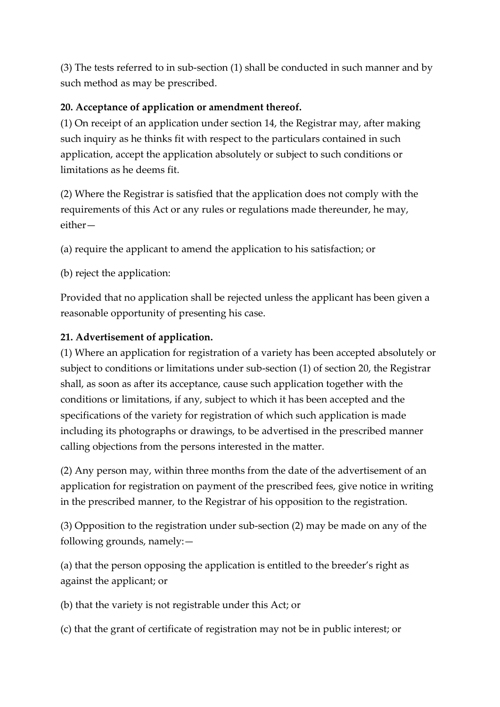(3) The tests referred to in sub-section (1) shall be conducted in such manner and by such method as may be prescribed.

# **20. Acceptance of application or amendment thereof.**

(1) On receipt of an application under section 14, the Registrar may, after making such inquiry as he thinks fit with respect to the particulars contained in such application, accept the application absolutely or subject to such conditions or limitations as he deems fit.

(2) Where the Registrar is satisfied that the application does not comply with the requirements of this Act or any rules or regulations made thereunder, he may, either—

(a) require the applicant to amend the application to his satisfaction; or

(b) reject the application:

Provided that no application shall be rejected unless the applicant has been given a reasonable opportunity of presenting his case.

# **21. Advertisement of application.**

(1) Where an application for registration of a variety has been accepted absolutely or subject to conditions or limitations under sub-section (1) of section 20, the Registrar shall, as soon as after its acceptance, cause such application together with the conditions or limitations, if any, subject to which it has been accepted and the specifications of the variety for registration of which such application is made including its photographs or drawings, to be advertised in the prescribed manner calling objections from the persons interested in the matter.

(2) Any person may, within three months from the date of the advertisement of an application for registration on payment of the prescribed fees, give notice in writing in the prescribed manner, to the Registrar of his opposition to the registration.

(3) Opposition to the registration under sub-section (2) may be made on any of the following grounds, namely:—

(a) that the person opposing the application is entitled to the breeder's right as against the applicant; or

(b) that the variety is not registrable under this Act; or

(c) that the grant of certificate of registration may not be in public interest; or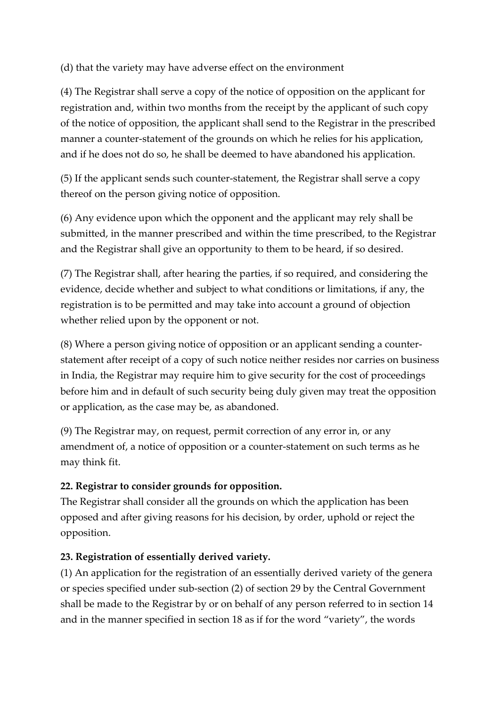(d) that the variety may have adverse effect on the environment

(4) The Registrar shall serve a copy of the notice of opposition on the applicant for registration and, within two months from the receipt by the applicant of such copy of the notice of opposition, the applicant shall send to the Registrar in the prescribed manner a counter-statement of the grounds on which he relies for his application, and if he does not do so, he shall be deemed to have abandoned his application.

(5) If the applicant sends such counter-statement, the Registrar shall serve a copy thereof on the person giving notice of opposition.

(6) Any evidence upon which the opponent and the applicant may rely shall be submitted, in the manner prescribed and within the time prescribed, to the Registrar and the Registrar shall give an opportunity to them to be heard, if so desired.

(7) The Registrar shall, after hearing the parties, if so required, and considering the evidence, decide whether and subject to what conditions or limitations, if any, the registration is to be permitted and may take into account a ground of objection whether relied upon by the opponent or not.

(8) Where a person giving notice of opposition or an applicant sending a counterstatement after receipt of a copy of such notice neither resides nor carries on business in India, the Registrar may require him to give security for the cost of proceedings before him and in default of such security being duly given may treat the opposition or application, as the case may be, as abandoned.

(9) The Registrar may, on request, permit correction of any error in, or any amendment of, a notice of opposition or a counter-statement on such terms as he may think fit.

# **22. Registrar to consider grounds for opposition.**

The Registrar shall consider all the grounds on which the application has been opposed and after giving reasons for his decision, by order, uphold or reject the opposition.

# **23. Registration of essentially derived variety.**

(1) An application for the registration of an essentially derived variety of the genera or species specified under sub-section (2) of section 29 by the Central Government shall be made to the Registrar by or on behalf of any person referred to in section 14 and in the manner specified in section 18 as if for the word "variety", the words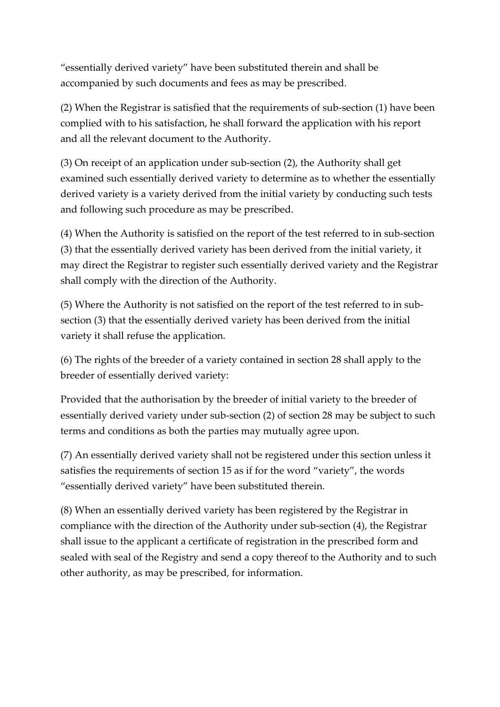"essentially derived variety" have been substituted therein and shall be accompanied by such documents and fees as may be prescribed.

(2) When the Registrar is satisfied that the requirements of sub-section (1) have been complied with to his satisfaction, he shall forward the application with his report and all the relevant document to the Authority.

(3) On receipt of an application under sub-section (2), the Authority shall get examined such essentially derived variety to determine as to whether the essentially derived variety is a variety derived from the initial variety by conducting such tests and following such procedure as may be prescribed.

(4) When the Authority is satisfied on the report of the test referred to in sub-section (3) that the essentially derived variety has been derived from the initial variety, it may direct the Registrar to register such essentially derived variety and the Registrar shall comply with the direction of the Authority.

(5) Where the Authority is not satisfied on the report of the test referred to in subsection (3) that the essentially derived variety has been derived from the initial variety it shall refuse the application.

(6) The rights of the breeder of a variety contained in section 28 shall apply to the breeder of essentially derived variety:

Provided that the authorisation by the breeder of initial variety to the breeder of essentially derived variety under sub-section (2) of section 28 may be subject to such terms and conditions as both the parties may mutually agree upon.

(7) An essentially derived variety shall not be registered under this section unless it satisfies the requirements of section 15 as if for the word "variety", the words "essentially derived variety" have been substituted therein.

(8) When an essentially derived variety has been registered by the Registrar in compliance with the direction of the Authority under sub-section (4), the Registrar shall issue to the applicant a certificate of registration in the prescribed form and sealed with seal of the Registry and send a copy thereof to the Authority and to such other authority, as may be prescribed, for information.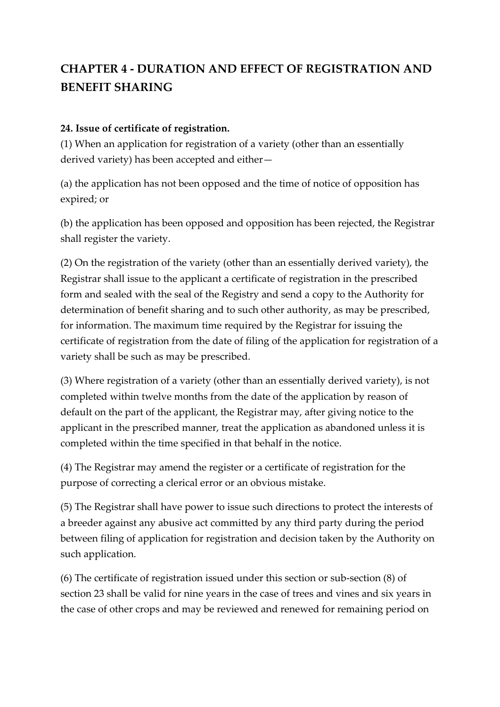# **CHAPTER 4 - DURATION AND EFFECT OF REGISTRATION AND BENEFIT SHARING**

#### **24. Issue of certificate of registration.**

(1) When an application for registration of a variety (other than an essentially derived variety) has been accepted and either—

(a) the application has not been opposed and the time of notice of opposition has expired; or

(b) the application has been opposed and opposition has been rejected, the Registrar shall register the variety.

(2) On the registration of the variety (other than an essentially derived variety), the Registrar shall issue to the applicant a certificate of registration in the prescribed form and sealed with the seal of the Registry and send a copy to the Authority for determination of benefit sharing and to such other authority, as may be prescribed, for information. The maximum time required by the Registrar for issuing the certificate of registration from the date of filing of the application for registration of a variety shall be such as may be prescribed.

(3) Where registration of a variety (other than an essentially derived variety), is not completed within twelve months from the date of the application by reason of default on the part of the applicant, the Registrar may, after giving notice to the applicant in the prescribed manner, treat the application as abandoned unless it is completed within the time specified in that behalf in the notice.

(4) The Registrar may amend the register or a certificate of registration for the purpose of correcting a clerical error or an obvious mistake.

(5) The Registrar shall have power to issue such directions to protect the interests of a breeder against any abusive act committed by any third party during the period between filing of application for registration and decision taken by the Authority on such application.

(6) The certificate of registration issued under this section or sub-section (8) of section 23 shall be valid for nine years in the case of trees and vines and six years in the case of other crops and may be reviewed and renewed for remaining period on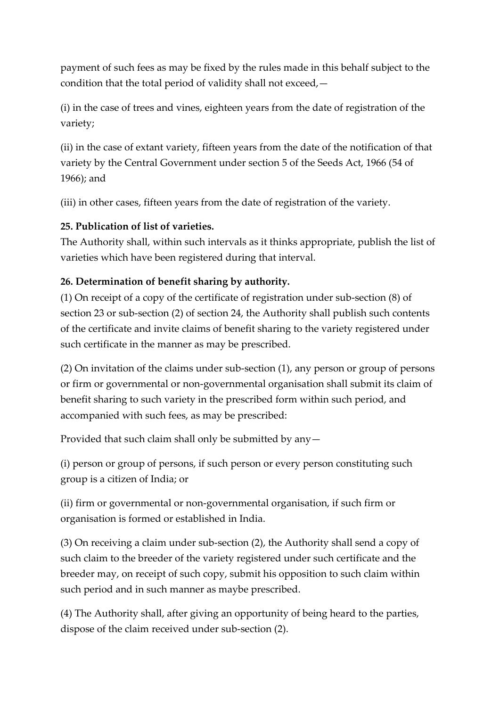payment of such fees as may be fixed by the rules made in this behalf subject to the condition that the total period of validity shall not exceed,—

(i) in the case of trees and vines, eighteen years from the date of registration of the variety;

(ii) in the case of extant variety, fifteen years from the date of the notification of that variety by the Central Government under section 5 of the Seeds Act, 1966 (54 of 1966); and

(iii) in other cases, fifteen years from the date of registration of the variety.

# **25. Publication of list of varieties.**

The Authority shall, within such intervals as it thinks appropriate, publish the list of varieties which have been registered during that interval.

# **26. Determination of benefit sharing by authority.**

(1) On receipt of a copy of the certificate of registration under sub-section (8) of section 23 or sub-section (2) of section 24, the Authority shall publish such contents of the certificate and invite claims of benefit sharing to the variety registered under such certificate in the manner as may be prescribed.

(2) On invitation of the claims under sub-section (1), any person or group of persons or firm or governmental or non-governmental organisation shall submit its claim of benefit sharing to such variety in the prescribed form within such period, and accompanied with such fees, as may be prescribed:

Provided that such claim shall only be submitted by any—

(i) person or group of persons, if such person or every person constituting such group is a citizen of India; or

(ii) firm or governmental or non-governmental organisation, if such firm or organisation is formed or established in India.

(3) On receiving a claim under sub-section (2), the Authority shall send a copy of such claim to the breeder of the variety registered under such certificate and the breeder may, on receipt of such copy, submit his opposition to such claim within such period and in such manner as maybe prescribed.

(4) The Authority shall, after giving an opportunity of being heard to the parties, dispose of the claim received under sub-section (2).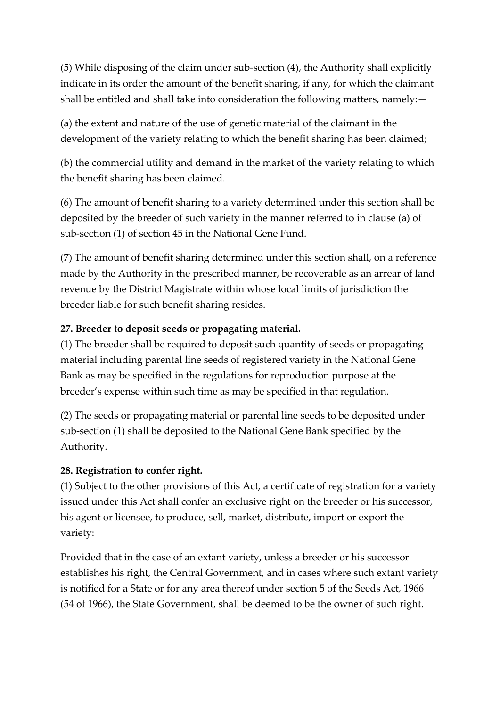(5) While disposing of the claim under sub-section (4), the Authority shall explicitly indicate in its order the amount of the benefit sharing, if any, for which the claimant shall be entitled and shall take into consideration the following matters, namely:—

(a) the extent and nature of the use of genetic material of the claimant in the development of the variety relating to which the benefit sharing has been claimed;

(b) the commercial utility and demand in the market of the variety relating to which the benefit sharing has been claimed.

(6) The amount of benefit sharing to a variety determined under this section shall be deposited by the breeder of such variety in the manner referred to in clause (a) of sub-section (1) of section 45 in the National Gene Fund.

(7) The amount of benefit sharing determined under this section shall, on a reference made by the Authority in the prescribed manner, be recoverable as an arrear of land revenue by the District Magistrate within whose local limits of jurisdiction the breeder liable for such benefit sharing resides.

# **27. Breeder to deposit seeds or propagating material.**

(1) The breeder shall be required to deposit such quantity of seeds or propagating material including parental line seeds of registered variety in the National Gene Bank as may be specified in the regulations for reproduction purpose at the breeder's expense within such time as may be specified in that regulation.

(2) The seeds or propagating material or parental line seeds to be deposited under sub-section (1) shall be deposited to the National Gene Bank specified by the Authority.

# **28. Registration to confer right.**

(1) Subject to the other provisions of this Act, a certificate of registration for a variety issued under this Act shall confer an exclusive right on the breeder or his successor, his agent or licensee, to produce, sell, market, distribute, import or export the variety:

Provided that in the case of an extant variety, unless a breeder or his successor establishes his right, the Central Government, and in cases where such extant variety is notified for a State or for any area thereof under section 5 of the Seeds Act, 1966 (54 of 1966), the State Government, shall be deemed to be the owner of such right.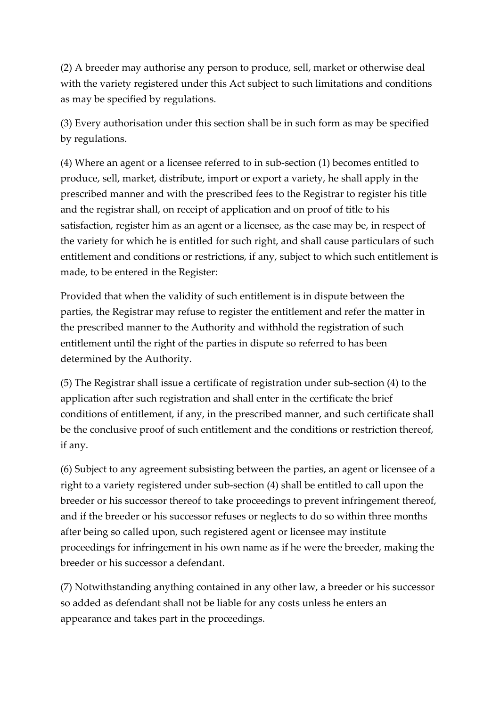(2) A breeder may authorise any person to produce, sell, market or otherwise deal with the variety registered under this Act subject to such limitations and conditions as may be specified by regulations.

(3) Every authorisation under this section shall be in such form as may be specified by regulations.

(4) Where an agent or a licensee referred to in sub-section (1) becomes entitled to produce, sell, market, distribute, import or export a variety, he shall apply in the prescribed manner and with the prescribed fees to the Registrar to register his title and the registrar shall, on receipt of application and on proof of title to his satisfaction, register him as an agent or a licensee, as the case may be, in respect of the variety for which he is entitled for such right, and shall cause particulars of such entitlement and conditions or restrictions, if any, subject to which such entitlement is made, to be entered in the Register:

Provided that when the validity of such entitlement is in dispute between the parties, the Registrar may refuse to register the entitlement and refer the matter in the prescribed manner to the Authority and withhold the registration of such entitlement until the right of the parties in dispute so referred to has been determined by the Authority.

(5) The Registrar shall issue a certificate of registration under sub-section (4) to the application after such registration and shall enter in the certificate the brief conditions of entitlement, if any, in the prescribed manner, and such certificate shall be the conclusive proof of such entitlement and the conditions or restriction thereof, if any.

(6) Subject to any agreement subsisting between the parties, an agent or licensee of a right to a variety registered under sub-section (4) shall be entitled to call upon the breeder or his successor thereof to take proceedings to prevent infringement thereof, and if the breeder or his successor refuses or neglects to do so within three months after being so called upon, such registered agent or licensee may institute proceedings for infringement in his own name as if he were the breeder, making the breeder or his successor a defendant.

(7) Notwithstanding anything contained in any other law, a breeder or his successor so added as defendant shall not be liable for any costs unless he enters an appearance and takes part in the proceedings.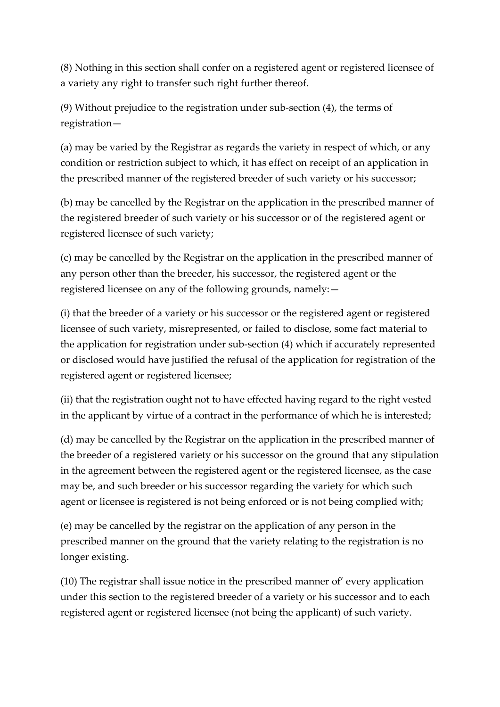(8) Nothing in this section shall confer on a registered agent or registered licensee of a variety any right to transfer such right further thereof.

(9) Without prejudice to the registration under sub-section (4), the terms of registration—

(a) may be varied by the Registrar as regards the variety in respect of which, or any condition or restriction subject to which, it has effect on receipt of an application in the prescribed manner of the registered breeder of such variety or his successor;

(b) may be cancelled by the Registrar on the application in the prescribed manner of the registered breeder of such variety or his successor or of the registered agent or registered licensee of such variety;

(c) may be cancelled by the Registrar on the application in the prescribed manner of any person other than the breeder, his successor, the registered agent or the registered licensee on any of the following grounds, namely:—

(i) that the breeder of a variety or his successor or the registered agent or registered licensee of such variety, misrepresented, or failed to disclose, some fact material to the application for registration under sub-section (4) which if accurately represented or disclosed would have justified the refusal of the application for registration of the registered agent or registered licensee;

(ii) that the registration ought not to have effected having regard to the right vested in the applicant by virtue of a contract in the performance of which he is interested;

(d) may be cancelled by the Registrar on the application in the prescribed manner of the breeder of a registered variety or his successor on the ground that any stipulation in the agreement between the registered agent or the registered licensee, as the case may be, and such breeder or his successor regarding the variety for which such agent or licensee is registered is not being enforced or is not being complied with;

(e) may be cancelled by the registrar on the application of any person in the prescribed manner on the ground that the variety relating to the registration is no longer existing.

(10) The registrar shall issue notice in the prescribed manner of' every application under this section to the registered breeder of a variety or his successor and to each registered agent or registered licensee (not being the applicant) of such variety.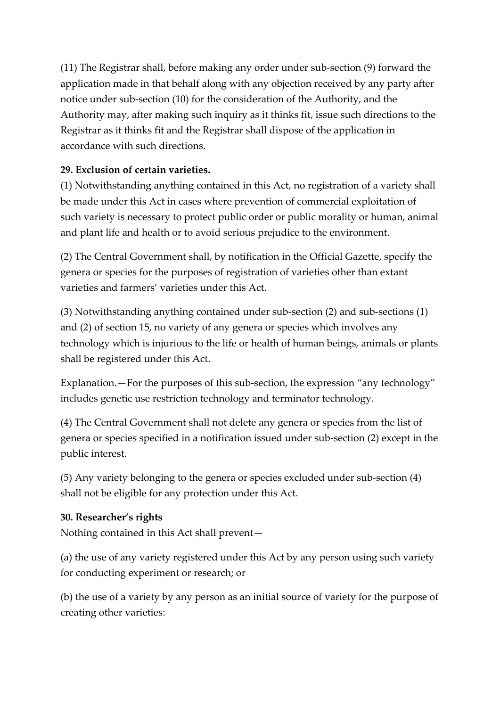(11) The Registrar shall, before making any order under sub-section (9) forward the application made in that behalf along with any objection received by any party after notice under sub-section (10) for the consideration of the Authority, and the Authority may, after making such inquiry as it thinks fit, issue such directions to the Registrar as it thinks fit and the Registrar shall dispose of the application in accordance with such directions.

# **29. Exclusion of certain varieties.**

(1) Notwithstanding anything contained in this Act, no registration of a variety shall be made under this Act in cases where prevention of commercial exploitation of such variety is necessary to protect public order or public morality or human, animal and plant life and health or to avoid serious prejudice to the environment.

(2) The Central Government shall, by notification in the Official Gazette, specify the genera or species for the purposes of registration of varieties other than extant varieties and farmers' varieties under this Act.

(3) Notwithstanding anything contained under sub-section (2) and sub-sections (1) and (2) of section 15, no variety of any genera or species which involves any technology which is injurious to the life or health of human beings, animals or plants shall be registered under this Act.

Explanation.—For the purposes of this sub-section, the expression "any technology" includes genetic use restriction technology and terminator technology.

(4) The Central Government shall not delete any genera or species from the list of genera or species specified in a notification issued under sub-section (2) except in the public interest.

(5) Any variety belonging to the genera or species excluded under sub-section (4) shall not be eligible for any protection under this Act.

# **30. Researcher's rights**

Nothing contained in this Act shall prevent—

(a) the use of any variety registered under this Act by any person using such variety for conducting experiment or research; or

(b) the use of a variety by any person as an initial source of variety for the purpose of creating other varieties: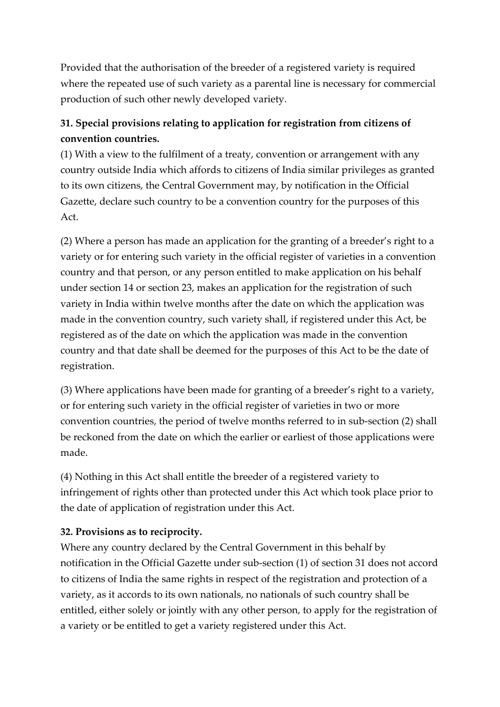Provided that the authorisation of the breeder of a registered variety is required where the repeated use of such variety as a parental line is necessary for commercial production of such other newly developed variety.

# **31. Special provisions relating to application for registration from citizens of convention countries.**

(1) With a view to the fulfilment of a treaty, convention or arrangement with any country outside India which affords to citizens of India similar privileges as granted to its own citizens, the Central Government may, by notification in the Official Gazette, declare such country to be a convention country for the purposes of this Act.

(2) Where a person has made an application for the granting of a breeder's right to a variety or for entering such variety in the official register of varieties in a convention country and that person, or any person entitled to make application on his behalf under section 14 or section 23, makes an application for the registration of such variety in India within twelve months after the date on which the application was made in the convention country, such variety shall, if registered under this Act, be registered as of the date on which the application was made in the convention country and that date shall be deemed for the purposes of this Act to be the date of registration.

(3) Where applications have been made for granting of a breeder's right to a variety, or for entering such variety in the official register of varieties in two or more convention countries, the period of twelve months referred to in sub-section (2) shall be reckoned from the date on which the earlier or earliest of those applications were made.

(4) Nothing in this Act shall entitle the breeder of a registered variety to infringement of rights other than protected under this Act which took place prior to the date of application of registration under this Act.

# **32. Provisions as to reciprocity.**

Where any country declared by the Central Government in this behalf by notification in the Official Gazette under sub-section (1) of section 31 does not accord to citizens of India the same rights in respect of the registration and protection of a variety, as it accords to its own nationals, no nationals of such country shall be entitled, either solely or jointly with any other person, to apply for the registration of a variety or be entitled to get a variety registered under this Act.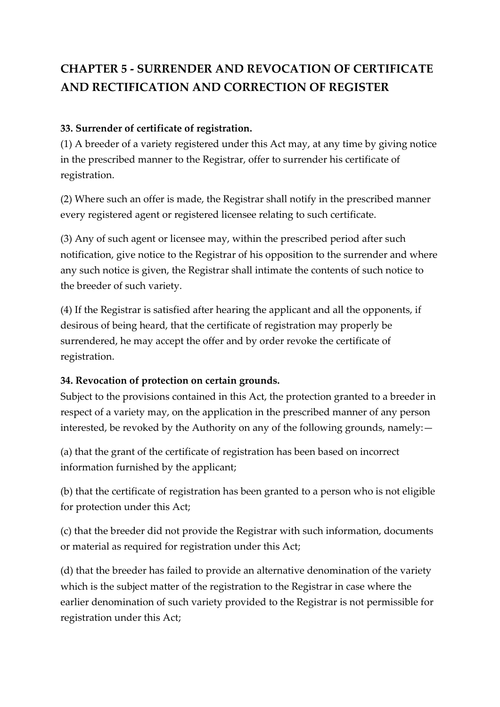# **CHAPTER 5 - SURRENDER AND REVOCATION OF CERTIFICATE AND RECTIFICATION AND CORRECTION OF REGISTER**

## **33. Surrender of certificate of registration.**

(1) A breeder of a variety registered under this Act may, at any time by giving notice in the prescribed manner to the Registrar, offer to surrender his certificate of registration.

(2) Where such an offer is made, the Registrar shall notify in the prescribed manner every registered agent or registered licensee relating to such certificate.

(3) Any of such agent or licensee may, within the prescribed period after such notification, give notice to the Registrar of his opposition to the surrender and where any such notice is given, the Registrar shall intimate the contents of such notice to the breeder of such variety.

(4) If the Registrar is satisfied after hearing the applicant and all the opponents, if desirous of being heard, that the certificate of registration may properly be surrendered, he may accept the offer and by order revoke the certificate of registration.

#### **34. Revocation of protection on certain grounds.**

Subject to the provisions contained in this Act, the protection granted to a breeder in respect of a variety may, on the application in the prescribed manner of any person interested, be revoked by the Authority on any of the following grounds, namely:—

(a) that the grant of the certificate of registration has been based on incorrect information furnished by the applicant;

(b) that the certificate of registration has been granted to a person who is not eligible for protection under this Act;

(c) that the breeder did not provide the Registrar with such information, documents or material as required for registration under this Act;

(d) that the breeder has failed to provide an alternative denomination of the variety which is the subject matter of the registration to the Registrar in case where the earlier denomination of such variety provided to the Registrar is not permissible for registration under this Act;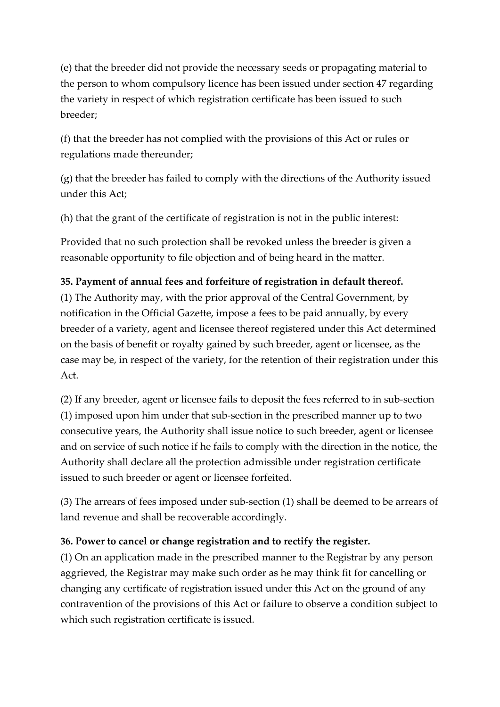(e) that the breeder did not provide the necessary seeds or propagating material to the person to whom compulsory licence has been issued under section 47 regarding the variety in respect of which registration certificate has been issued to such breeder;

(f) that the breeder has not complied with the provisions of this Act or rules or regulations made thereunder;

(g) that the breeder has failed to comply with the directions of the Authority issued under this Act;

(h) that the grant of the certificate of registration is not in the public interest:

Provided that no such protection shall be revoked unless the breeder is given a reasonable opportunity to file objection and of being heard in the matter.

## **35. Payment of annual fees and forfeiture of registration in default thereof.**

(1) The Authority may, with the prior approval of the Central Government, by notification in the Official Gazette, impose a fees to be paid annually, by every breeder of a variety, agent and licensee thereof registered under this Act determined on the basis of benefit or royalty gained by such breeder, agent or licensee, as the case may be, in respect of the variety, for the retention of their registration under this Act.

(2) If any breeder, agent or licensee fails to deposit the fees referred to in sub-section (1) imposed upon him under that sub-section in the prescribed manner up to two consecutive years, the Authority shall issue notice to such breeder, agent or licensee and on service of such notice if he fails to comply with the direction in the notice, the Authority shall declare all the protection admissible under registration certificate issued to such breeder or agent or licensee forfeited.

(3) The arrears of fees imposed under sub-section (1) shall be deemed to be arrears of land revenue and shall be recoverable accordingly.

#### **36. Power to cancel or change registration and to rectify the register.**

(1) On an application made in the prescribed manner to the Registrar by any person aggrieved, the Registrar may make such order as he may think fit for cancelling or changing any certificate of registration issued under this Act on the ground of any contravention of the provisions of this Act or failure to observe a condition subject to which such registration certificate is issued.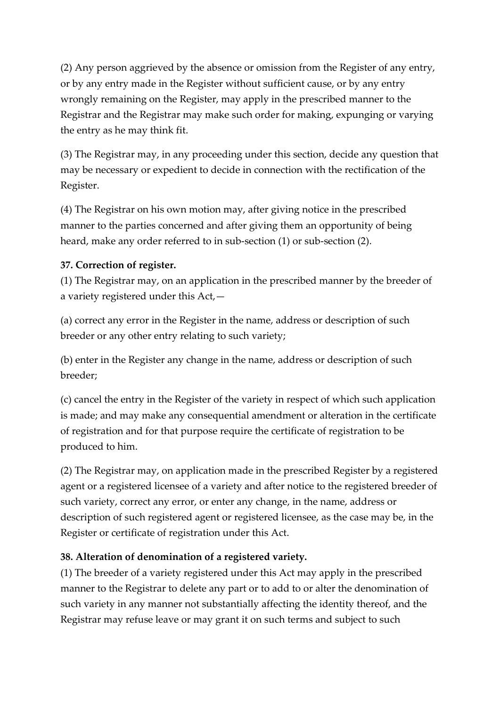(2) Any person aggrieved by the absence or omission from the Register of any entry, or by any entry made in the Register without sufficient cause, or by any entry wrongly remaining on the Register, may apply in the prescribed manner to the Registrar and the Registrar may make such order for making, expunging or varying the entry as he may think fit.

(3) The Registrar may, in any proceeding under this section, decide any question that may be necessary or expedient to decide in connection with the rectification of the Register.

(4) The Registrar on his own motion may, after giving notice in the prescribed manner to the parties concerned and after giving them an opportunity of being heard, make any order referred to in sub-section (1) or sub-section (2).

## **37. Correction of register.**

(1) The Registrar may, on an application in the prescribed manner by the breeder of a variety registered under this Act,—

(a) correct any error in the Register in the name, address or description of such breeder or any other entry relating to such variety;

(b) enter in the Register any change in the name, address or description of such breeder;

(c) cancel the entry in the Register of the variety in respect of which such application is made; and may make any consequential amendment or alteration in the certificate of registration and for that purpose require the certificate of registration to be produced to him.

(2) The Registrar may, on application made in the prescribed Register by a registered agent or a registered licensee of a variety and after notice to the registered breeder of such variety, correct any error, or enter any change, in the name, address or description of such registered agent or registered licensee, as the case may be, in the Register or certificate of registration under this Act.

# **38. Alteration of denomination of a registered variety.**

(1) The breeder of a variety registered under this Act may apply in the prescribed manner to the Registrar to delete any part or to add to or alter the denomination of such variety in any manner not substantially affecting the identity thereof, and the Registrar may refuse leave or may grant it on such terms and subject to such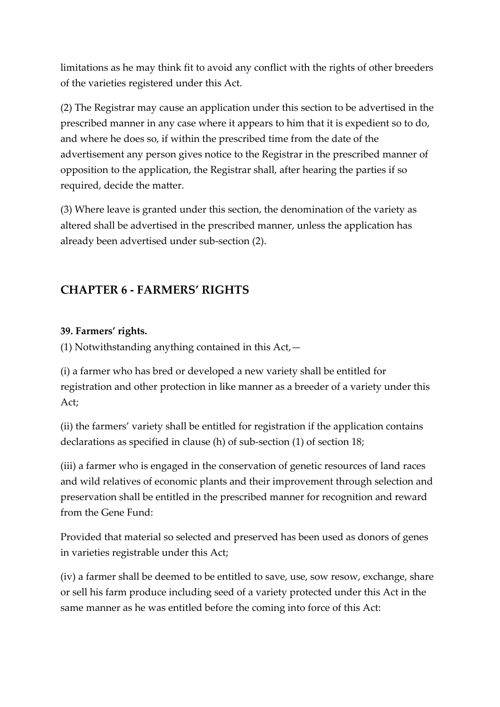limitations as he may think fit to avoid any conflict with the rights of other breeders of the varieties registered under this Act.

(2) The Registrar may cause an application under this section to be advertised in the prescribed manner in any case where it appears to him that it is expedient so to do, and where he does so, if within the prescribed time from the date of the advertisement any person gives notice to the Registrar in the prescribed manner of opposition to the application, the Registrar shall, after hearing the parties if so required, decide the matter.

(3) Where leave is granted under this section, the denomination of the variety as altered shall be advertised in the prescribed manner, unless the application has already been advertised under sub-section (2).

# **CHAPTER 6 - FARMERS' RIGHTS**

#### **39. Farmers' rights.**

(1) Notwithstanding anything contained in this  $Act$ ,  $-$ 

(i) a farmer who has bred or developed a new variety shall be entitled for registration and other protection in like manner as a breeder of a variety under this Act;

(ii) the farmers' variety shall be entitled for registration if the application contains declarations as specified in clause (h) of sub-section (1) of section 18;

(iii) a farmer who is engaged in the conservation of genetic resources of land races and wild relatives of economic plants and their improvement through selection and preservation shall be entitled in the prescribed manner for recognition and reward from the Gene Fund:

Provided that material so selected and preserved has been used as donors of genes in varieties registrable under this Act;

(iv) a farmer shall be deemed to be entitled to save, use, sow resow, exchange, share or sell his farm produce including seed of a variety protected under this Act in the same manner as he was entitled before the coming into force of this Act: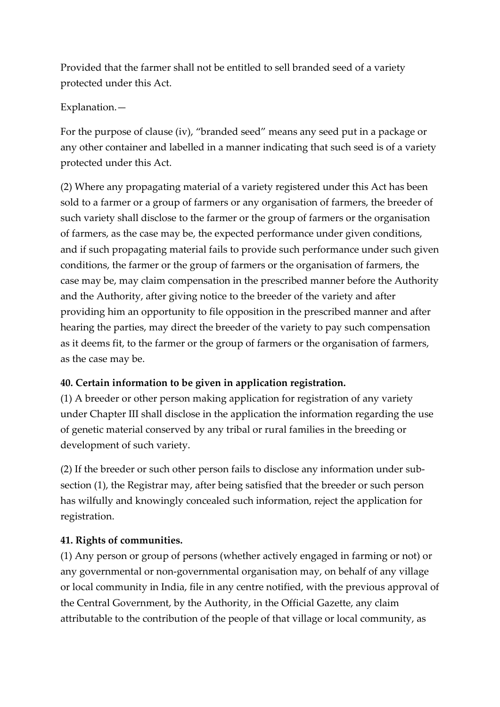Provided that the farmer shall not be entitled to sell branded seed of a variety protected under this Act.

Explanation.—

For the purpose of clause (iv), "branded seed" means any seed put in a package or any other container and labelled in a manner indicating that such seed is of a variety protected under this Act.

(2) Where any propagating material of a variety registered under this Act has been sold to a farmer or a group of farmers or any organisation of farmers, the breeder of such variety shall disclose to the farmer or the group of farmers or the organisation of farmers, as the case may be, the expected performance under given conditions, and if such propagating material fails to provide such performance under such given conditions, the farmer or the group of farmers or the organisation of farmers, the case may be, may claim compensation in the prescribed manner before the Authority and the Authority, after giving notice to the breeder of the variety and after providing him an opportunity to file opposition in the prescribed manner and after hearing the parties, may direct the breeder of the variety to pay such compensation as it deems fit, to the farmer or the group of farmers or the organisation of farmers, as the case may be.

# **40. Certain information to be given in application registration.**

(1) A breeder or other person making application for registration of any variety under Chapter III shall disclose in the application the information regarding the use of genetic material conserved by any tribal or rural families in the breeding or development of such variety.

(2) If the breeder or such other person fails to disclose any information under subsection (1), the Registrar may, after being satisfied that the breeder or such person has wilfully and knowingly concealed such information, reject the application for registration.

# **41. Rights of communities.**

(1) Any person or group of persons (whether actively engaged in farming or not) or any governmental or non-governmental organisation may, on behalf of any village or local community in India, file in any centre notified, with the previous approval of the Central Government, by the Authority, in the Official Gazette, any claim attributable to the contribution of the people of that village or local community, as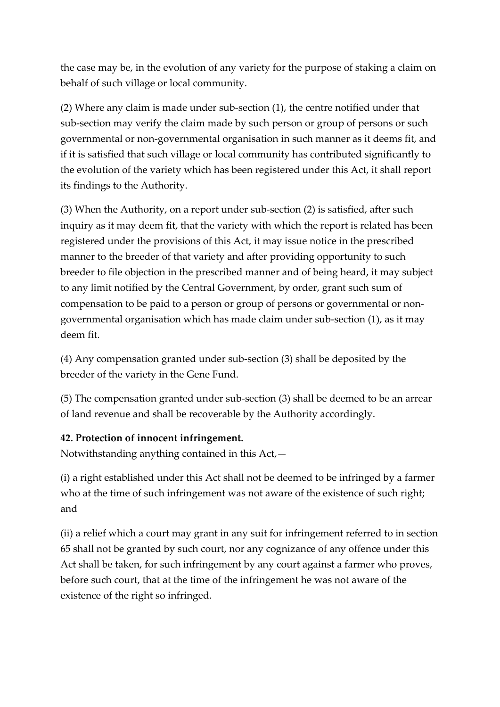the case may be, in the evolution of any variety for the purpose of staking a claim on behalf of such village or local community.

(2) Where any claim is made under sub-section (1), the centre notified under that sub-section may verify the claim made by such person or group of persons or such governmental or non-governmental organisation in such manner as it deems fit, and if it is satisfied that such village or local community has contributed significantly to the evolution of the variety which has been registered under this Act, it shall report its findings to the Authority.

(3) When the Authority, on a report under sub-section (2) is satisfied, after such inquiry as it may deem fit, that the variety with which the report is related has been registered under the provisions of this Act, it may issue notice in the prescribed manner to the breeder of that variety and after providing opportunity to such breeder to file objection in the prescribed manner and of being heard, it may subject to any limit notified by the Central Government, by order, grant such sum of compensation to be paid to a person or group of persons or governmental or nongovernmental organisation which has made claim under sub-section (1), as it may deem fit.

(4) Any compensation granted under sub-section (3) shall be deposited by the breeder of the variety in the Gene Fund.

(5) The compensation granted under sub-section (3) shall be deemed to be an arrear of land revenue and shall be recoverable by the Authority accordingly.

#### **42. Protection of innocent infringement.**

Notwithstanding anything contained in this Act,—

(i) a right established under this Act shall not be deemed to be infringed by a farmer who at the time of such infringement was not aware of the existence of such right; and

(ii) a relief which a court may grant in any suit for infringement referred to in section 65 shall not be granted by such court, nor any cognizance of any offence under this Act shall be taken, for such infringement by any court against a farmer who proves, before such court, that at the time of the infringement he was not aware of the existence of the right so infringed.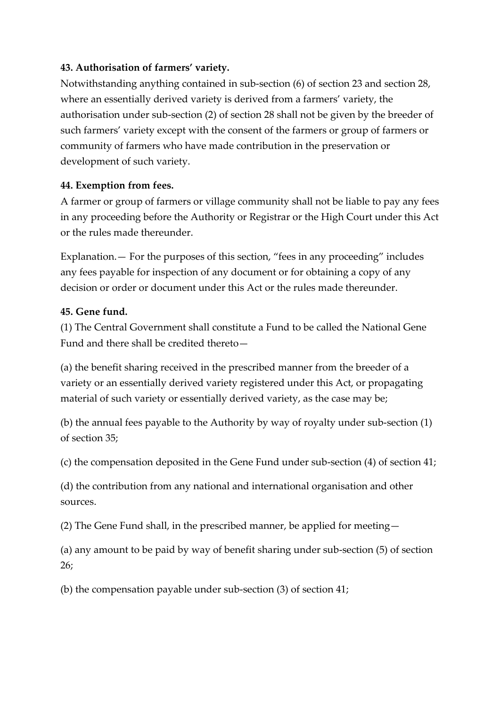## **43. Authorisation of farmers' variety.**

Notwithstanding anything contained in sub-section (6) of section 23 and section 28, where an essentially derived variety is derived from a farmers' variety, the authorisation under sub-section (2) of section 28 shall not be given by the breeder of such farmers' variety except with the consent of the farmers or group of farmers or community of farmers who have made contribution in the preservation or development of such variety.

## **44. Exemption from fees.**

A farmer or group of farmers or village community shall not be liable to pay any fees in any proceeding before the Authority or Registrar or the High Court under this Act or the rules made thereunder.

Explanation.— For the purposes of this section, "fees in any proceeding" includes any fees payable for inspection of any document or for obtaining a copy of any decision or order or document under this Act or the rules made thereunder.

## **45. Gene fund.**

(1) The Central Government shall constitute a Fund to be called the National Gene Fund and there shall be credited thereto—

(a) the benefit sharing received in the prescribed manner from the breeder of a variety or an essentially derived variety registered under this Act, or propagating material of such variety or essentially derived variety, as the case may be;

(b) the annual fees payable to the Authority by way of royalty under sub-section (1) of section 35;

(c) the compensation deposited in the Gene Fund under sub-section (4) of section 41;

(d) the contribution from any national and international organisation and other sources.

(2) The Gene Fund shall, in the prescribed manner, be applied for meeting—

(a) any amount to be paid by way of benefit sharing under sub-section (5) of section 26;

(b) the compensation payable under sub-section (3) of section 41;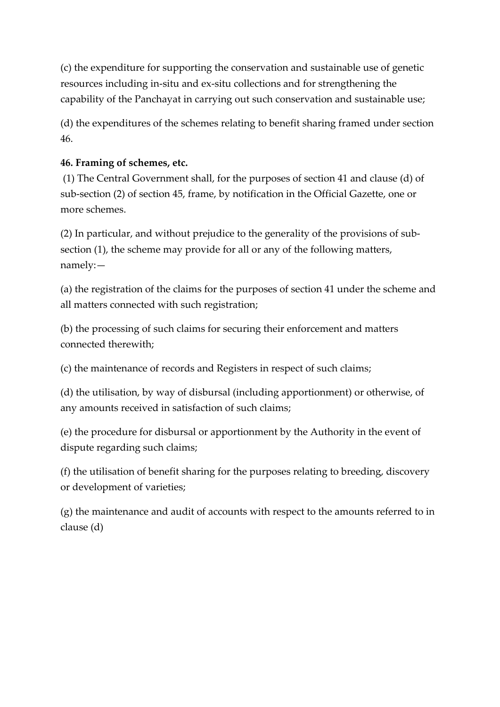(c) the expenditure for supporting the conservation and sustainable use of genetic resources including in-situ and ex-situ collections and for strengthening the capability of the Panchayat in carrying out such conservation and sustainable use;

(d) the expenditures of the schemes relating to benefit sharing framed under section 46.

# **46. Framing of schemes, etc.**

(1) The Central Government shall, for the purposes of section 41 and clause (d) of sub-section (2) of section 45, frame, by notification in the Official Gazette, one or more schemes.

(2) In particular, and without prejudice to the generality of the provisions of subsection (1), the scheme may provide for all or any of the following matters, namely:—

(a) the registration of the claims for the purposes of section 41 under the scheme and all matters connected with such registration;

(b) the processing of such claims for securing their enforcement and matters connected therewith;

(c) the maintenance of records and Registers in respect of such claims;

(d) the utilisation, by way of disbursal (including apportionment) or otherwise, of any amounts received in satisfaction of such claims;

(e) the procedure for disbursal or apportionment by the Authority in the event of dispute regarding such claims;

(f) the utilisation of benefit sharing for the purposes relating to breeding, discovery or development of varieties;

(g) the maintenance and audit of accounts with respect to the amounts referred to in clause (d)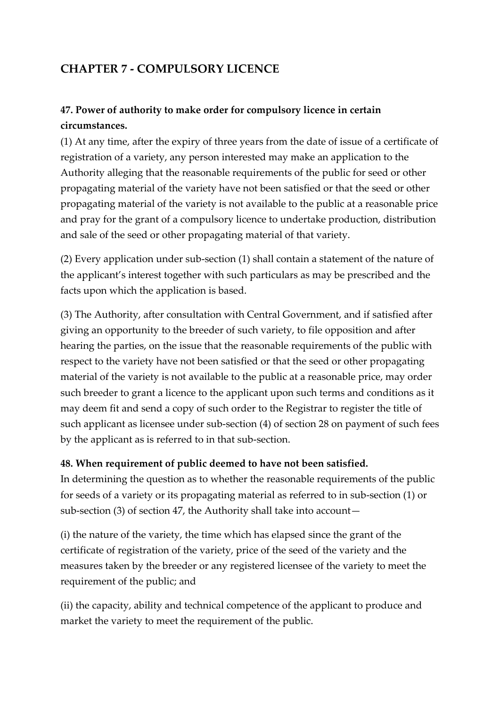# **CHAPTER 7 - COMPULSORY LICENCE**

# **47. Power of authority to make order for compulsory licence in certain circumstances.**

(1) At any time, after the expiry of three years from the date of issue of a certificate of registration of a variety, any person interested may make an application to the Authority alleging that the reasonable requirements of the public for seed or other propagating material of the variety have not been satisfied or that the seed or other propagating material of the variety is not available to the public at a reasonable price and pray for the grant of a compulsory licence to undertake production, distribution and sale of the seed or other propagating material of that variety.

(2) Every application under sub-section (1) shall contain a statement of the nature of the applicant's interest together with such particulars as may be prescribed and the facts upon which the application is based.

(3) The Authority, after consultation with Central Government, and if satisfied after giving an opportunity to the breeder of such variety, to file opposition and after hearing the parties, on the issue that the reasonable requirements of the public with respect to the variety have not been satisfied or that the seed or other propagating material of the variety is not available to the public at a reasonable price, may order such breeder to grant a licence to the applicant upon such terms and conditions as it may deem fit and send a copy of such order to the Registrar to register the title of such applicant as licensee under sub-section (4) of section 28 on payment of such fees by the applicant as is referred to in that sub-section.

#### **48. When requirement of public deemed to have not been satisfied.**

In determining the question as to whether the reasonable requirements of the public for seeds of a variety or its propagating material as referred to in sub-section (1) or sub-section (3) of section 47, the Authority shall take into account—

(i) the nature of the variety, the time which has elapsed since the grant of the certificate of registration of the variety, price of the seed of the variety and the measures taken by the breeder or any registered licensee of the variety to meet the requirement of the public; and

(ii) the capacity, ability and technical competence of the applicant to produce and market the variety to meet the requirement of the public.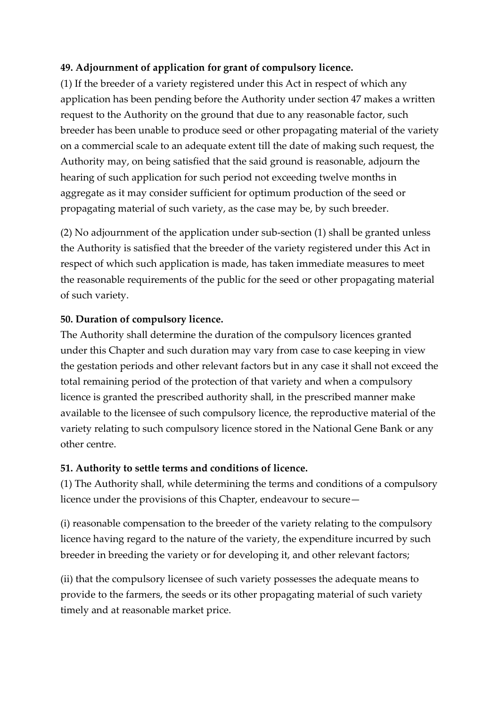## **49. Adjournment of application for grant of compulsory licence.**

(1) If the breeder of a variety registered under this Act in respect of which any application has been pending before the Authority under section 47 makes a written request to the Authority on the ground that due to any reasonable factor, such breeder has been unable to produce seed or other propagating material of the variety on a commercial scale to an adequate extent till the date of making such request, the Authority may, on being satisfied that the said ground is reasonable, adjourn the hearing of such application for such period not exceeding twelve months in aggregate as it may consider sufficient for optimum production of the seed or propagating material of such variety, as the case may be, by such breeder.

(2) No adjournment of the application under sub-section (1) shall be granted unless the Authority is satisfied that the breeder of the variety registered under this Act in respect of which such application is made, has taken immediate measures to meet the reasonable requirements of the public for the seed or other propagating material of such variety.

#### **50. Duration of compulsory licence.**

The Authority shall determine the duration of the compulsory licences granted under this Chapter and such duration may vary from case to case keeping in view the gestation periods and other relevant factors but in any case it shall not exceed the total remaining period of the protection of that variety and when a compulsory licence is granted the prescribed authority shall, in the prescribed manner make available to the licensee of such compulsory licence, the reproductive material of the variety relating to such compulsory licence stored in the National Gene Bank or any other centre.

#### **51. Authority to settle terms and conditions of licence.**

(1) The Authority shall, while determining the terms and conditions of a compulsory licence under the provisions of this Chapter, endeavour to secure—

(i) reasonable compensation to the breeder of the variety relating to the compulsory licence having regard to the nature of the variety, the expenditure incurred by such breeder in breeding the variety or for developing it, and other relevant factors;

(ii) that the compulsory licensee of such variety possesses the adequate means to provide to the farmers, the seeds or its other propagating material of such variety timely and at reasonable market price.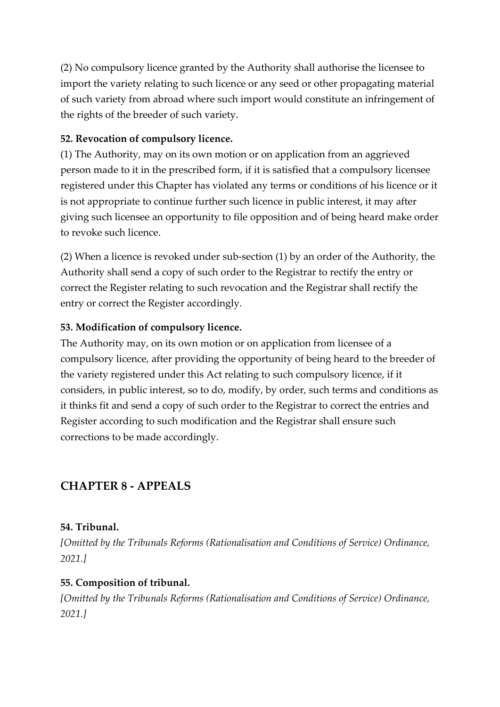(2) No compulsory licence granted by the Authority shall authorise the licensee to import the variety relating to such licence or any seed or other propagating material of such variety from abroad where such import would constitute an infringement of the rights of the breeder of such variety.

#### **52. Revocation of compulsory licence.**

(1) The Authority, may on its own motion or on application from an aggrieved person made to it in the prescribed form, if it is satisfied that a compulsory licensee registered under this Chapter has violated any terms or conditions of his licence or it is not appropriate to continue further such licence in public interest, it may after giving such licensee an opportunity to file opposition and of being heard make order to revoke such licence.

(2) When a licence is revoked under sub-section (1) by an order of the Authority, the Authority shall send a copy of such order to the Registrar to rectify the entry or correct the Register relating to such revocation and the Registrar shall rectify the entry or correct the Register accordingly.

#### **53. Modification of compulsory licence.**

The Authority may, on its own motion or on application from licensee of a compulsory licence, after providing the opportunity of being heard to the breeder of the variety registered under this Act relating to such compulsory licence, if it considers, in public interest, so to do, modify, by order, such terms and conditions as it thinks fit and send a copy of such order to the Registrar to correct the entries and Register according to such modification and the Registrar shall ensure such corrections to be made accordingly.

# **CHAPTER 8 - APPEALS**

#### **54. Tribunal.**

*[Omitted by the Tribunals Reforms (Rationalisation and Conditions of Service) Ordinance, 2021.]*

#### **55. Composition of tribunal.**

*[Omitted by the Tribunals Reforms (Rationalisation and Conditions of Service) Ordinance, 2021.]*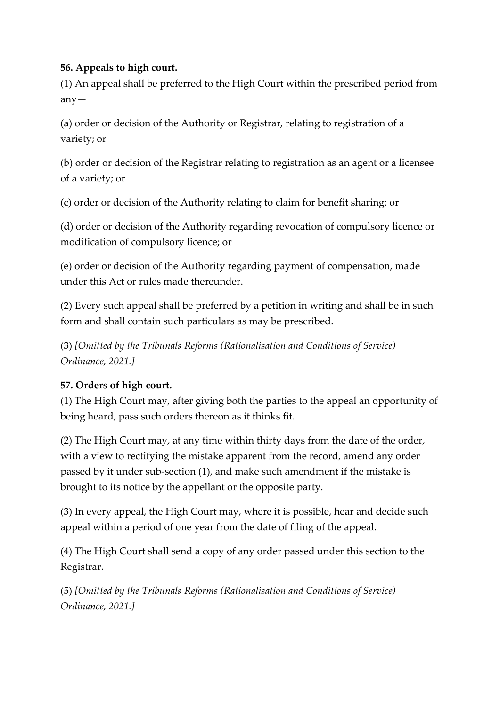# **56. Appeals to high court.**

(1) An appeal shall be preferred to the High Court within the prescribed period from any—

(a) order or decision of the Authority or Registrar, relating to registration of a variety; or

(b) order or decision of the Registrar relating to registration as an agent or a licensee of a variety; or

(c) order or decision of the Authority relating to claim for benefit sharing; or

(d) order or decision of the Authority regarding revocation of compulsory licence or modification of compulsory licence; or

(e) order or decision of the Authority regarding payment of compensation, made under this Act or rules made thereunder.

(2) Every such appeal shall be preferred by a petition in writing and shall be in such form and shall contain such particulars as may be prescribed.

(3) *[Omitted by the Tribunals Reforms (Rationalisation and Conditions of Service) Ordinance, 2021.]*

# **57. Orders of high court.**

(1) The High Court may, after giving both the parties to the appeal an opportunity of being heard, pass such orders thereon as it thinks fit.

(2) The High Court may, at any time within thirty days from the date of the order, with a view to rectifying the mistake apparent from the record, amend any order passed by it under sub-section (1), and make such amendment if the mistake is brought to its notice by the appellant or the opposite party.

(3) In every appeal, the High Court may, where it is possible, hear and decide such appeal within a period of one year from the date of filing of the appeal.

(4) The High Court shall send a copy of any order passed under this section to the Registrar.

(5) *[Omitted by the Tribunals Reforms (Rationalisation and Conditions of Service) Ordinance, 2021.]*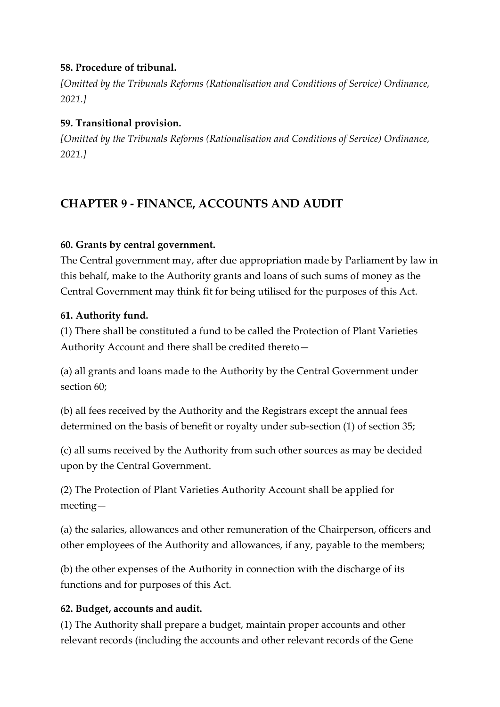## **58. Procedure of tribunal.**

*[Omitted by the Tribunals Reforms (Rationalisation and Conditions of Service) Ordinance, 2021.]*

## **59. Transitional provision.**

*[Omitted by the Tribunals Reforms (Rationalisation and Conditions of Service) Ordinance, 2021.]*

# **CHAPTER 9 - FINANCE, ACCOUNTS AND AUDIT**

## **60. Grants by central government.**

The Central government may, after due appropriation made by Parliament by law in this behalf, make to the Authority grants and loans of such sums of money as the Central Government may think fit for being utilised for the purposes of this Act.

#### **61. Authority fund.**

(1) There shall be constituted a fund to be called the Protection of Plant Varieties Authority Account and there shall be credited thereto—

(a) all grants and loans made to the Authority by the Central Government under section 60;

(b) all fees received by the Authority and the Registrars except the annual fees determined on the basis of benefit or royalty under sub-section (1) of section 35;

(c) all sums received by the Authority from such other sources as may be decided upon by the Central Government.

(2) The Protection of Plant Varieties Authority Account shall be applied for meeting—

(a) the salaries, allowances and other remuneration of the Chairperson, officers and other employees of the Authority and allowances, if any, payable to the members;

(b) the other expenses of the Authority in connection with the discharge of its functions and for purposes of this Act.

# **62. Budget, accounts and audit.**

(1) The Authority shall prepare a budget, maintain proper accounts and other relevant records (including the accounts and other relevant records of the Gene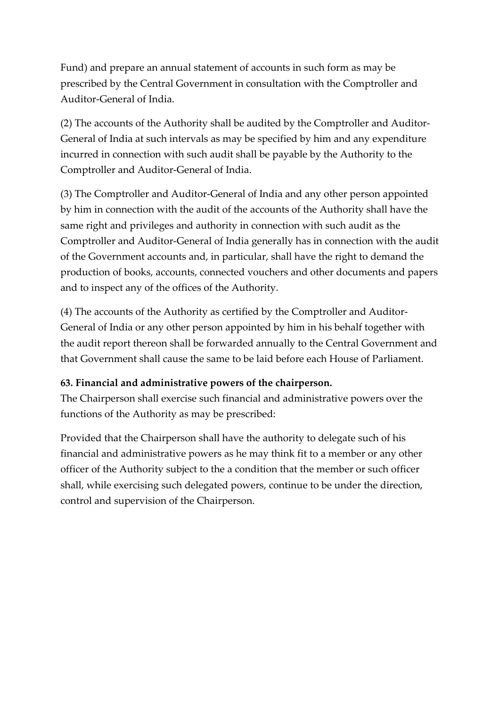Fund) and prepare an annual statement of accounts in such form as may be prescribed by the Central Government in consultation with the Comptroller and Auditor-General of India.

(2) The accounts of the Authority shall be audited by the Comptroller and Auditor-General of India at such intervals as may be specified by him and any expenditure incurred in connection with such audit shall be payable by the Authority to the Comptroller and Auditor-General of India.

(3) The Comptroller and Auditor-General of India and any other person appointed by him in connection with the audit of the accounts of the Authority shall have the same right and privileges and authority in connection with such audit as the Comptroller and Auditor-General of India generally has in connection with the audit of the Government accounts and, in particular, shall have the right to demand the production of books, accounts, connected vouchers and other documents and papers and to inspect any of the offices of the Authority.

(4) The accounts of the Authority as certified by the Comptroller and Auditor-General of India or any other person appointed by him in his behalf together with the audit report thereon shall be forwarded annually to the Central Government and that Government shall cause the same to be laid before each House of Parliament.

#### **63. Financial and administrative powers of the chairperson.**

The Chairperson shall exercise such financial and administrative powers over the functions of the Authority as may be prescribed:

Provided that the Chairperson shall have the authority to delegate such of his financial and administrative powers as he may think fit to a member or any other officer of the Authority subject to the a condition that the member or such officer shall, while exercising such delegated powers, continue to be under the direction, control and supervision of the Chairperson.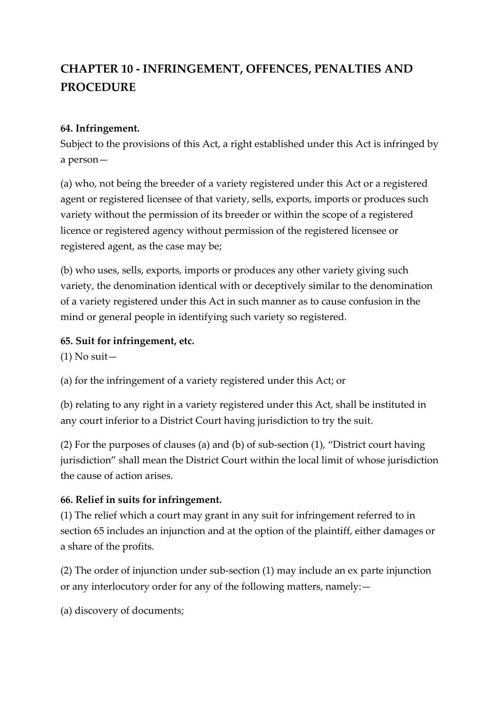# **CHAPTER 10 - INFRINGEMENT, OFFENCES, PENALTIES AND PROCEDURE**

#### **64. Infringement.**

Subject to the provisions of this Act, a right established under this Act is infringed by a person—

(a) who, not being the breeder of a variety registered under this Act or a registered agent or registered licensee of that variety, sells, exports, imports or produces such variety without the permission of its breeder or within the scope of a registered licence or registered agency without permission of the registered licensee or registered agent, as the case may be;

(b) who uses, sells, exports, imports or produces any other variety giving such variety, the denomination identical with or deceptively similar to the denomination of a variety registered under this Act in such manner as to cause confusion in the mind or general people in identifying such variety so registered.

## **65. Suit for infringement, etc.**

 $(1)$  No suit –

(a) for the infringement of a variety registered under this Act; or

(b) relating to any right in a variety registered under this Act, shall be instituted in any court inferior to a District Court having jurisdiction to try the suit.

(2) For the purposes of clauses (a) and (b) of sub-section (1), "District court having jurisdiction" shall mean the District Court within the local limit of whose jurisdiction the cause of action arises.

# **66. Relief in suits for infringement.**

(1) The relief which a court may grant in any suit for infringement referred to in section 65 includes an injunction and at the option of the plaintiff, either damages or a share of the profits.

(2) The order of injunction under sub-section (1) may include an ex parte injunction or any interlocutory order for any of the following matters, namely:—

(a) discovery of documents;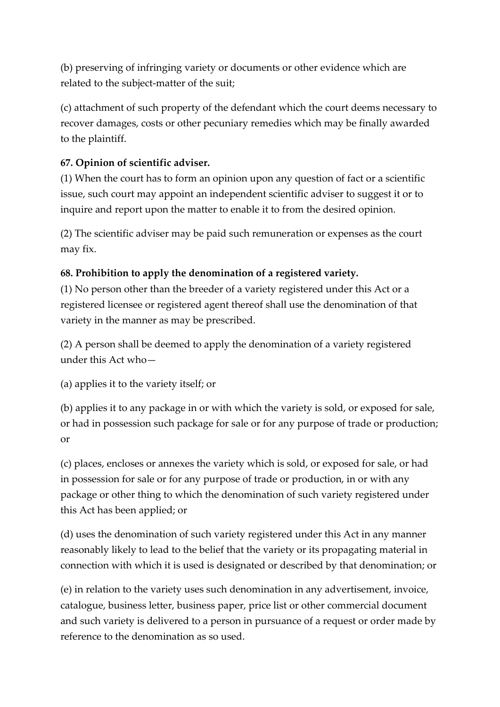(b) preserving of infringing variety or documents or other evidence which are related to the subject-matter of the suit;

(c) attachment of such property of the defendant which the court deems necessary to recover damages, costs or other pecuniary remedies which may be finally awarded to the plaintiff.

# **67. Opinion of scientific adviser.**

(1) When the court has to form an opinion upon any question of fact or a scientific issue, such court may appoint an independent scientific adviser to suggest it or to inquire and report upon the matter to enable it to from the desired opinion.

(2) The scientific adviser may be paid such remuneration or expenses as the court may fix.

# **68. Prohibition to apply the denomination of a registered variety.**

(1) No person other than the breeder of a variety registered under this Act or a registered licensee or registered agent thereof shall use the denomination of that variety in the manner as may be prescribed.

(2) A person shall be deemed to apply the denomination of a variety registered under this Act who—

(a) applies it to the variety itself; or

(b) applies it to any package in or with which the variety is sold, or exposed for sale, or had in possession such package for sale or for any purpose of trade or production; or

(c) places, encloses or annexes the variety which is sold, or exposed for sale, or had in possession for sale or for any purpose of trade or production, in or with any package or other thing to which the denomination of such variety registered under this Act has been applied; or

(d) uses the denomination of such variety registered under this Act in any manner reasonably likely to lead to the belief that the variety or its propagating material in connection with which it is used is designated or described by that denomination; or

(e) in relation to the variety uses such denomination in any advertisement, invoice, catalogue, business letter, business paper, price list or other commercial document and such variety is delivered to a person in pursuance of a request or order made by reference to the denomination as so used.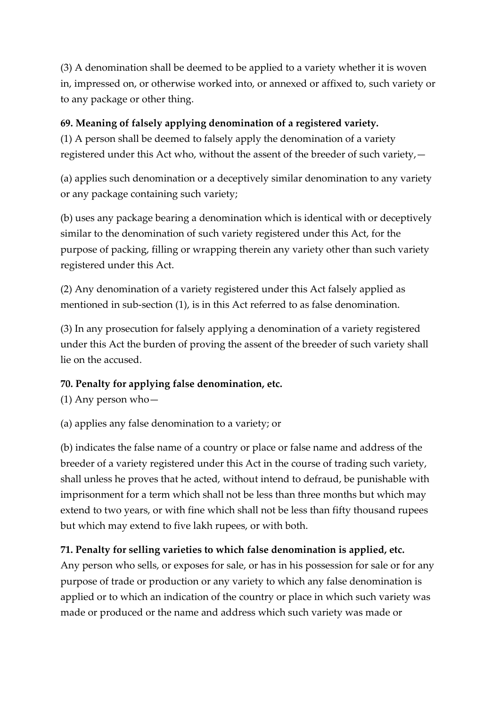(3) A denomination shall be deemed to be applied to a variety whether it is woven in, impressed on, or otherwise worked into, or annexed or affixed to, such variety or to any package or other thing.

# **69. Meaning of falsely applying denomination of a registered variety.**

(1) A person shall be deemed to falsely apply the denomination of a variety registered under this Act who, without the assent of the breeder of such variety,—

(a) applies such denomination or a deceptively similar denomination to any variety or any package containing such variety;

(b) uses any package bearing a denomination which is identical with or deceptively similar to the denomination of such variety registered under this Act, for the purpose of packing, filling or wrapping therein any variety other than such variety registered under this Act.

(2) Any denomination of a variety registered under this Act falsely applied as mentioned in sub-section (1), is in this Act referred to as false denomination.

(3) In any prosecution for falsely applying a denomination of a variety registered under this Act the burden of proving the assent of the breeder of such variety shall lie on the accused.

# **70. Penalty for applying false denomination, etc.**

(1) Any person who—

(a) applies any false denomination to a variety; or

(b) indicates the false name of a country or place or false name and address of the breeder of a variety registered under this Act in the course of trading such variety, shall unless he proves that he acted, without intend to defraud, be punishable with imprisonment for a term which shall not be less than three months but which may extend to two years, or with fine which shall not be less than fifty thousand rupees but which may extend to five lakh rupees, or with both.

# **71. Penalty for selling varieties to which false denomination is applied, etc.**

Any person who sells, or exposes for sale, or has in his possession for sale or for any purpose of trade or production or any variety to which any false denomination is applied or to which an indication of the country or place in which such variety was made or produced or the name and address which such variety was made or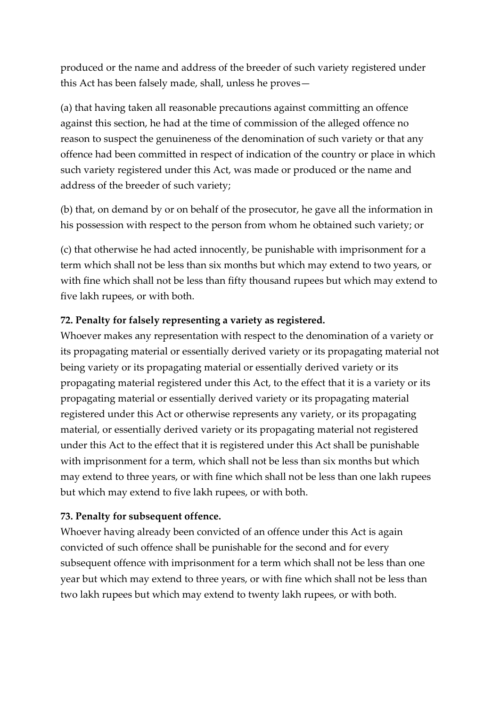produced or the name and address of the breeder of such variety registered under this Act has been falsely made, shall, unless he proves—

(a) that having taken all reasonable precautions against committing an offence against this section, he had at the time of commission of the alleged offence no reason to suspect the genuineness of the denomination of such variety or that any offence had been committed in respect of indication of the country or place in which such variety registered under this Act, was made or produced or the name and address of the breeder of such variety;

(b) that, on demand by or on behalf of the prosecutor, he gave all the information in his possession with respect to the person from whom he obtained such variety; or

(c) that otherwise he had acted innocently, be punishable with imprisonment for a term which shall not be less than six months but which may extend to two years, or with fine which shall not be less than fifty thousand rupees but which may extend to five lakh rupees, or with both.

#### **72. Penalty for falsely representing a variety as registered.**

Whoever makes any representation with respect to the denomination of a variety or its propagating material or essentially derived variety or its propagating material not being variety or its propagating material or essentially derived variety or its propagating material registered under this Act, to the effect that it is a variety or its propagating material or essentially derived variety or its propagating material registered under this Act or otherwise represents any variety, or its propagating material, or essentially derived variety or its propagating material not registered under this Act to the effect that it is registered under this Act shall be punishable with imprisonment for a term, which shall not be less than six months but which may extend to three years, or with fine which shall not be less than one lakh rupees but which may extend to five lakh rupees, or with both.

#### **73. Penalty for subsequent offence.**

Whoever having already been convicted of an offence under this Act is again convicted of such offence shall be punishable for the second and for every subsequent offence with imprisonment for a term which shall not be less than one year but which may extend to three years, or with fine which shall not be less than two lakh rupees but which may extend to twenty lakh rupees, or with both.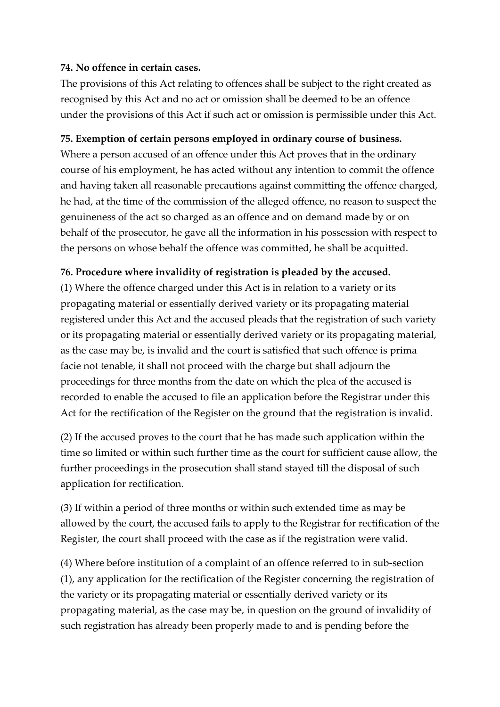#### **74. No offence in certain cases.**

The provisions of this Act relating to offences shall be subject to the right created as recognised by this Act and no act or omission shall be deemed to be an offence under the provisions of this Act if such act or omission is permissible under this Act.

#### **75. Exemption of certain persons employed in ordinary course of business.**

Where a person accused of an offence under this Act proves that in the ordinary course of his employment, he has acted without any intention to commit the offence and having taken all reasonable precautions against committing the offence charged, he had, at the time of the commission of the alleged offence, no reason to suspect the genuineness of the act so charged as an offence and on demand made by or on behalf of the prosecutor, he gave all the information in his possession with respect to the persons on whose behalf the offence was committed, he shall be acquitted.

## **76. Procedure where invalidity of registration is pleaded by the accused.**

(1) Where the offence charged under this Act is in relation to a variety or its propagating material or essentially derived variety or its propagating material registered under this Act and the accused pleads that the registration of such variety or its propagating material or essentially derived variety or its propagating material, as the case may be, is invalid and the court is satisfied that such offence is prima facie not tenable, it shall not proceed with the charge but shall adjourn the proceedings for three months from the date on which the plea of the accused is recorded to enable the accused to file an application before the Registrar under this Act for the rectification of the Register on the ground that the registration is invalid.

(2) If the accused proves to the court that he has made such application within the time so limited or within such further time as the court for sufficient cause allow, the further proceedings in the prosecution shall stand stayed till the disposal of such application for rectification.

(3) If within a period of three months or within such extended time as may be allowed by the court, the accused fails to apply to the Registrar for rectification of the Register, the court shall proceed with the case as if the registration were valid.

(4) Where before institution of a complaint of an offence referred to in sub-section (1), any application for the rectification of the Register concerning the registration of the variety or its propagating material or essentially derived variety or its propagating material, as the case may be, in question on the ground of invalidity of such registration has already been properly made to and is pending before the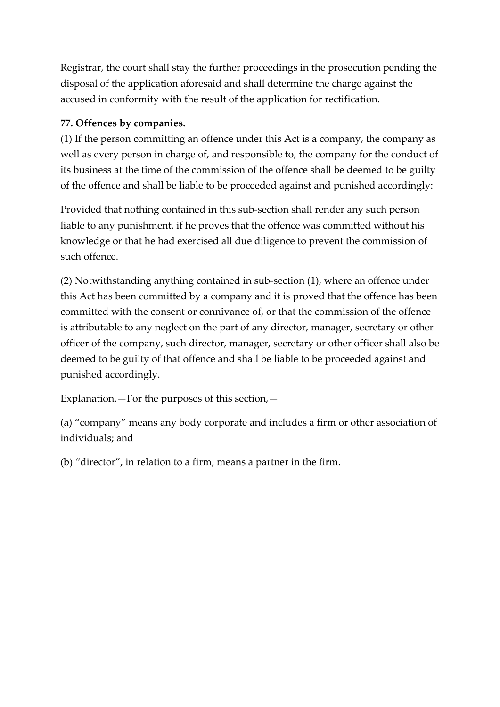Registrar, the court shall stay the further proceedings in the prosecution pending the disposal of the application aforesaid and shall determine the charge against the accused in conformity with the result of the application for rectification.

## **77. Offences by companies.**

(1) If the person committing an offence under this Act is a company, the company as well as every person in charge of, and responsible to, the company for the conduct of its business at the time of the commission of the offence shall be deemed to be guilty of the offence and shall be liable to be proceeded against and punished accordingly:

Provided that nothing contained in this sub-section shall render any such person liable to any punishment, if he proves that the offence was committed without his knowledge or that he had exercised all due diligence to prevent the commission of such offence.

(2) Notwithstanding anything contained in sub-section (1), where an offence under this Act has been committed by a company and it is proved that the offence has been committed with the consent or connivance of, or that the commission of the offence is attributable to any neglect on the part of any director, manager, secretary or other officer of the company, such director, manager, secretary or other officer shall also be deemed to be guilty of that offence and shall be liable to be proceeded against and punished accordingly.

Explanation.—For the purposes of this section,—

(a) "company" means any body corporate and includes a firm or other association of individuals; and

(b) "director", in relation to a firm, means a partner in the firm.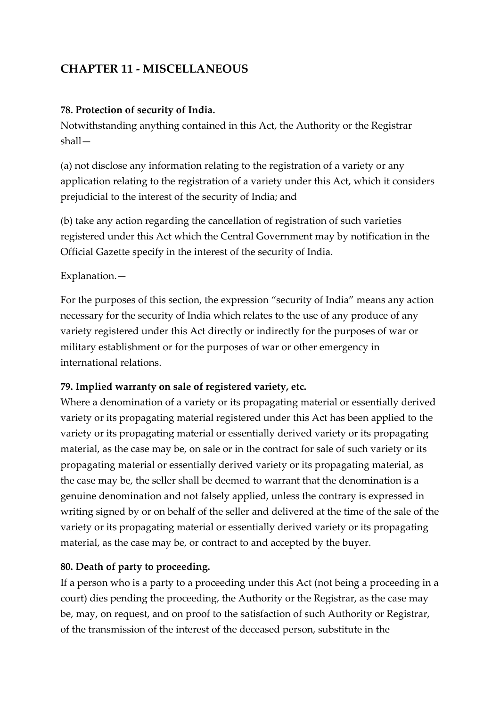# **CHAPTER 11 - MISCELLANEOUS**

#### **78. Protection of security of India.**

Notwithstanding anything contained in this Act, the Authority or the Registrar shall—

(a) not disclose any information relating to the registration of a variety or any application relating to the registration of a variety under this Act, which it considers prejudicial to the interest of the security of India; and

(b) take any action regarding the cancellation of registration of such varieties registered under this Act which the Central Government may by notification in the Official Gazette specify in the interest of the security of India.

## Explanation.—

For the purposes of this section, the expression "security of India" means any action necessary for the security of India which relates to the use of any produce of any variety registered under this Act directly or indirectly for the purposes of war or military establishment or for the purposes of war or other emergency in international relations.

# **79. Implied warranty on sale of registered variety, etc.**

Where a denomination of a variety or its propagating material or essentially derived variety or its propagating material registered under this Act has been applied to the variety or its propagating material or essentially derived variety or its propagating material, as the case may be, on sale or in the contract for sale of such variety or its propagating material or essentially derived variety or its propagating material, as the case may be, the seller shall be deemed to warrant that the denomination is a genuine denomination and not falsely applied, unless the contrary is expressed in writing signed by or on behalf of the seller and delivered at the time of the sale of the variety or its propagating material or essentially derived variety or its propagating material, as the case may be, or contract to and accepted by the buyer.

# **80. Death of party to proceeding.**

If a person who is a party to a proceeding under this Act (not being a proceeding in a court) dies pending the proceeding, the Authority or the Registrar, as the case may be, may, on request, and on proof to the satisfaction of such Authority or Registrar, of the transmission of the interest of the deceased person, substitute in the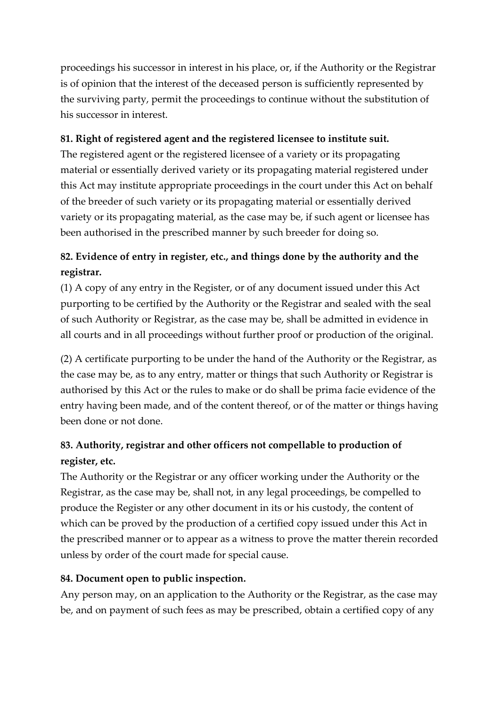proceedings his successor in interest in his place, or, if the Authority or the Registrar is of opinion that the interest of the deceased person is sufficiently represented by the surviving party, permit the proceedings to continue without the substitution of his successor in interest.

## **81. Right of registered agent and the registered licensee to institute suit.**

The registered agent or the registered licensee of a variety or its propagating material or essentially derived variety or its propagating material registered under this Act may institute appropriate proceedings in the court under this Act on behalf of the breeder of such variety or its propagating material or essentially derived variety or its propagating material, as the case may be, if such agent or licensee has been authorised in the prescribed manner by such breeder for doing so.

# **82. Evidence of entry in register, etc., and things done by the authority and the registrar.**

(1) A copy of any entry in the Register, or of any document issued under this Act purporting to be certified by the Authority or the Registrar and sealed with the seal of such Authority or Registrar, as the case may be, shall be admitted in evidence in all courts and in all proceedings without further proof or production of the original.

(2) A certificate purporting to be under the hand of the Authority or the Registrar, as the case may be, as to any entry, matter or things that such Authority or Registrar is authorised by this Act or the rules to make or do shall be prima facie evidence of the entry having been made, and of the content thereof, or of the matter or things having been done or not done.

# **83. Authority, registrar and other officers not compellable to production of register, etc.**

The Authority or the Registrar or any officer working under the Authority or the Registrar, as the case may be, shall not, in any legal proceedings, be compelled to produce the Register or any other document in its or his custody, the content of which can be proved by the production of a certified copy issued under this Act in the prescribed manner or to appear as a witness to prove the matter therein recorded unless by order of the court made for special cause.

# **84. Document open to public inspection.**

Any person may, on an application to the Authority or the Registrar, as the case may be, and on payment of such fees as may be prescribed, obtain a certified copy of any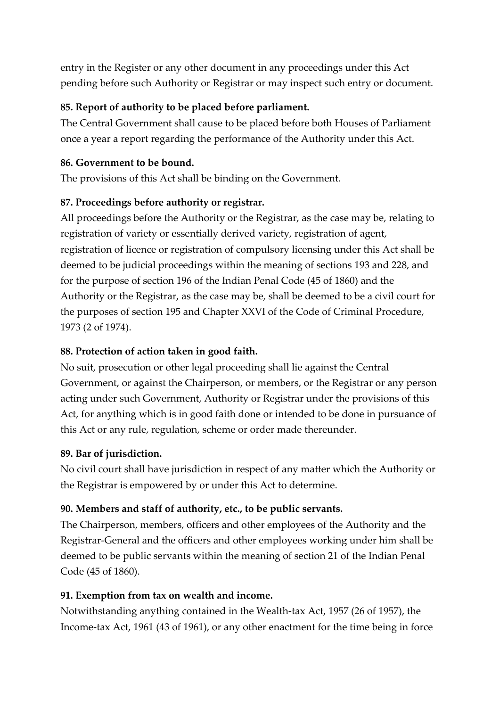entry in the Register or any other document in any proceedings under this Act pending before such Authority or Registrar or may inspect such entry or document.

## **85. Report of authority to be placed before parliament.**

The Central Government shall cause to be placed before both Houses of Parliament once a year a report regarding the performance of the Authority under this Act.

#### **86. Government to be bound.**

The provisions of this Act shall be binding on the Government.

## **87. Proceedings before authority or registrar.**

All proceedings before the Authority or the Registrar, as the case may be, relating to registration of variety or essentially derived variety, registration of agent, registration of licence or registration of compulsory licensing under this Act shall be deemed to be judicial proceedings within the meaning of sections 193 and 228, and for the purpose of section 196 of the Indian Penal Code (45 of 1860) and the Authority or the Registrar, as the case may be, shall be deemed to be a civil court for the purposes of section 195 and Chapter XXVI of the Code of Criminal Procedure, 1973 (2 of 1974).

# **88. Protection of action taken in good faith.**

No suit, prosecution or other legal proceeding shall lie against the Central Government, or against the Chairperson, or members, or the Registrar or any person acting under such Government, Authority or Registrar under the provisions of this Act, for anything which is in good faith done or intended to be done in pursuance of this Act or any rule, regulation, scheme or order made thereunder.

# **89. Bar of jurisdiction.**

No civil court shall have jurisdiction in respect of any matter which the Authority or the Registrar is empowered by or under this Act to determine.

# **90. Members and staff of authority, etc., to be public servants.**

The Chairperson, members, officers and other employees of the Authority and the Registrar-General and the officers and other employees working under him shall be deemed to be public servants within the meaning of section 21 of the Indian Penal Code (45 of 1860).

# **91. Exemption from tax on wealth and income.**

Notwithstanding anything contained in the Wealth-tax Act, 1957 (26 of 1957), the Income-tax Act, 1961 (43 of 1961), or any other enactment for the time being in force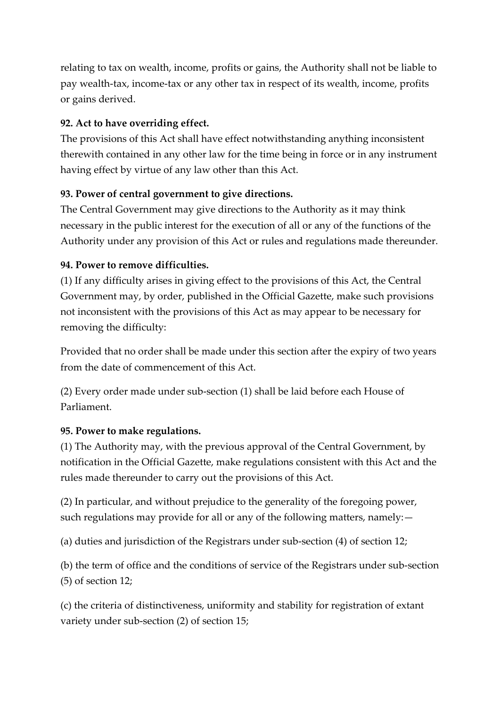relating to tax on wealth, income, profits or gains, the Authority shall not be liable to pay wealth-tax, income-tax or any other tax in respect of its wealth, income, profits or gains derived.

## **92. Act to have overriding effect.**

The provisions of this Act shall have effect notwithstanding anything inconsistent therewith contained in any other law for the time being in force or in any instrument having effect by virtue of any law other than this Act.

## **93. Power of central government to give directions.**

The Central Government may give directions to the Authority as it may think necessary in the public interest for the execution of all or any of the functions of the Authority under any provision of this Act or rules and regulations made thereunder.

## **94. Power to remove difficulties.**

(1) If any difficulty arises in giving effect to the provisions of this Act, the Central Government may, by order, published in the Official Gazette, make such provisions not inconsistent with the provisions of this Act as may appear to be necessary for removing the difficulty:

Provided that no order shall be made under this section after the expiry of two years from the date of commencement of this Act.

(2) Every order made under sub-section (1) shall be laid before each House of Parliament.

#### **95. Power to make regulations.**

(1) The Authority may, with the previous approval of the Central Government, by notification in the Official Gazette, make regulations consistent with this Act and the rules made thereunder to carry out the provisions of this Act.

(2) In particular, and without prejudice to the generality of the foregoing power, such regulations may provide for all or any of the following matters, namely:—

(a) duties and jurisdiction of the Registrars under sub-section (4) of section 12;

(b) the term of office and the conditions of service of the Registrars under sub-section (5) of section 12;

(c) the criteria of distinctiveness, uniformity and stability for registration of extant variety under sub-section (2) of section 15;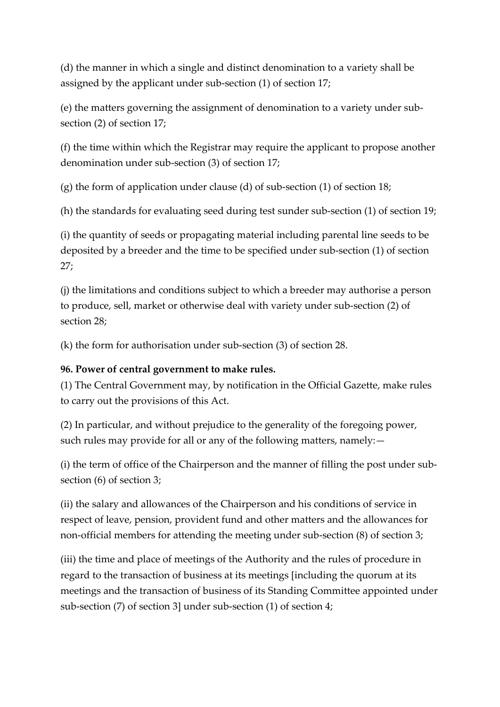(d) the manner in which a single and distinct denomination to a variety shall be assigned by the applicant under sub-section (1) of section 17;

(e) the matters governing the assignment of denomination to a variety under subsection (2) of section 17;

(f) the time within which the Registrar may require the applicant to propose another denomination under sub-section (3) of section 17;

(g) the form of application under clause (d) of sub-section (1) of section 18;

(h) the standards for evaluating seed during test sunder sub-section (1) of section 19;

(i) the quantity of seeds or propagating material including parental line seeds to be deposited by a breeder and the time to be specified under sub-section (1) of section 27;

(j) the limitations and conditions subject to which a breeder may authorise a person to produce, sell, market or otherwise deal with variety under sub-section (2) of section 28;

(k) the form for authorisation under sub-section (3) of section 28.

#### **96. Power of central government to make rules.**

(1) The Central Government may, by notification in the Official Gazette, make rules to carry out the provisions of this Act.

(2) In particular, and without prejudice to the generality of the foregoing power, such rules may provide for all or any of the following matters, namely:—

(i) the term of office of the Chairperson and the manner of filling the post under subsection (6) of section 3;

(ii) the salary and allowances of the Chairperson and his conditions of service in respect of leave, pension, provident fund and other matters and the allowances for non-official members for attending the meeting under sub-section (8) of section 3;

(iii) the time and place of meetings of the Authority and the rules of procedure in regard to the transaction of business at its meetings [including the quorum at its meetings and the transaction of business of its Standing Committee appointed under sub-section (7) of section 3] under sub-section (1) of section 4;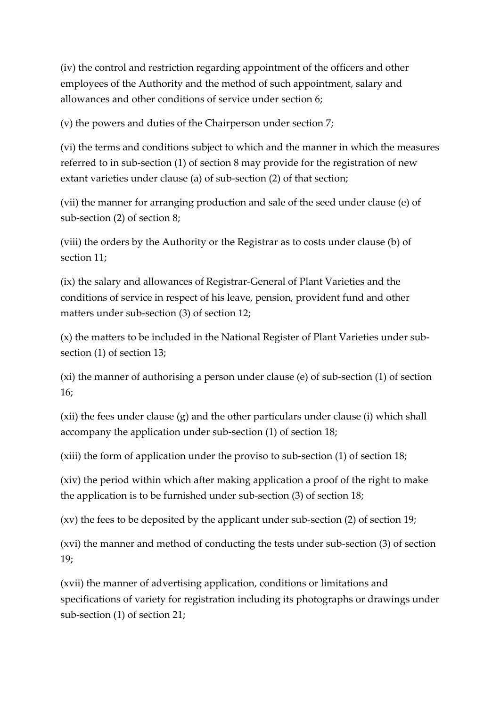(iv) the control and restriction regarding appointment of the officers and other employees of the Authority and the method of such appointment, salary and allowances and other conditions of service under section 6;

(v) the powers and duties of the Chairperson under section 7;

(vi) the terms and conditions subject to which and the manner in which the measures referred to in sub-section (1) of section 8 may provide for the registration of new extant varieties under clause (a) of sub-section (2) of that section;

(vii) the manner for arranging production and sale of the seed under clause (e) of sub-section (2) of section 8;

(viii) the orders by the Authority or the Registrar as to costs under clause (b) of section 11;

(ix) the salary and allowances of Registrar-General of Plant Varieties and the conditions of service in respect of his leave, pension, provident fund and other matters under sub-section (3) of section 12;

(x) the matters to be included in the National Register of Plant Varieties under subsection (1) of section 13;

(xi) the manner of authorising a person under clause (e) of sub-section (1) of section 16;

(xii) the fees under clause (g) and the other particulars under clause (i) which shall accompany the application under sub-section (1) of section 18;

(xiii) the form of application under the proviso to sub-section (1) of section 18;

(xiv) the period within which after making application a proof of the right to make the application is to be furnished under sub-section (3) of section 18;

(xv) the fees to be deposited by the applicant under sub-section (2) of section 19;

(xvi) the manner and method of conducting the tests under sub-section (3) of section 19;

(xvii) the manner of advertising application, conditions or limitations and specifications of variety for registration including its photographs or drawings under sub-section (1) of section 21;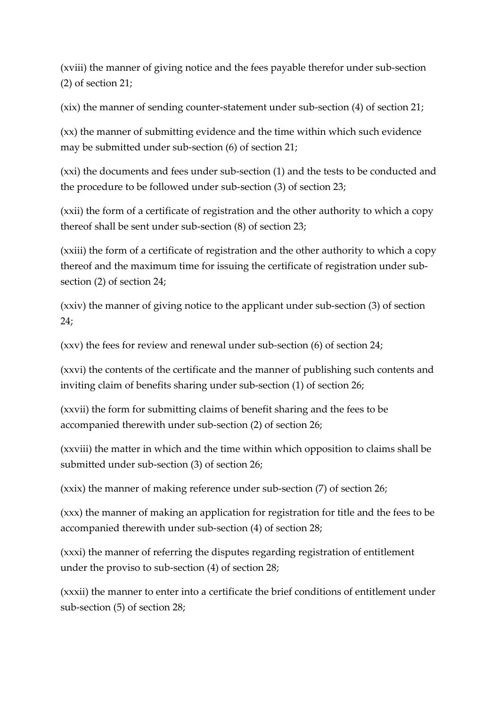(xviii) the manner of giving notice and the fees payable therefor under sub-section (2) of section 21;

(xix) the manner of sending counter-statement under sub-section (4) of section 21;

(xx) the manner of submitting evidence and the time within which such evidence may be submitted under sub-section (6) of section 21;

(xxi) the documents and fees under sub-section (1) and the tests to be conducted and the procedure to be followed under sub-section (3) of section 23;

(xxii) the form of a certificate of registration and the other authority to which a copy thereof shall be sent under sub-section (8) of section 23;

(xxiii) the form of a certificate of registration and the other authority to which a copy thereof and the maximum time for issuing the certificate of registration under subsection (2) of section 24;

(xxiv) the manner of giving notice to the applicant under sub-section (3) of section 24;

(xxv) the fees for review and renewal under sub-section (6) of section 24;

(xxvi) the contents of the certificate and the manner of publishing such contents and inviting claim of benefits sharing under sub-section (1) of section 26;

(xxvii) the form for submitting claims of benefit sharing and the fees to be accompanied therewith under sub-section (2) of section 26;

(xxviii) the matter in which and the time within which opposition to claims shall be submitted under sub-section (3) of section 26;

(xxix) the manner of making reference under sub-section (7) of section 26;

(xxx) the manner of making an application for registration for title and the fees to be accompanied therewith under sub-section (4) of section 28;

(xxxi) the manner of referring the disputes regarding registration of entitlement under the proviso to sub-section (4) of section 28;

(xxxii) the manner to enter into a certificate the brief conditions of entitlement under sub-section (5) of section 28;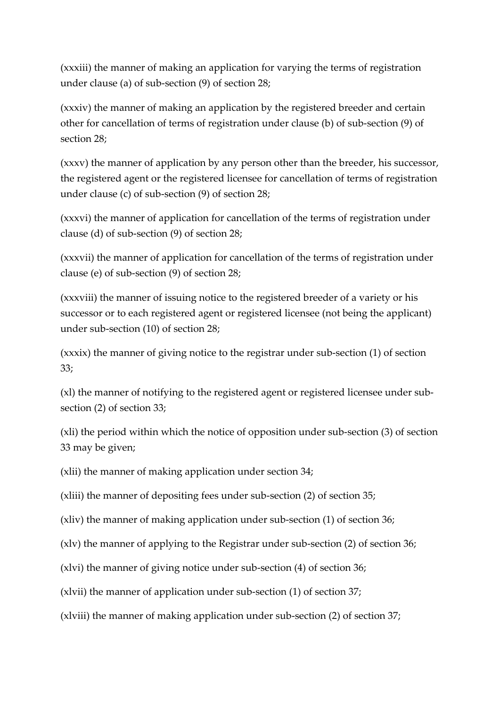(xxxiii) the manner of making an application for varying the terms of registration under clause (a) of sub-section (9) of section 28;

(xxxiv) the manner of making an application by the registered breeder and certain other for cancellation of terms of registration under clause (b) of sub-section (9) of section 28;

(xxxv) the manner of application by any person other than the breeder, his successor, the registered agent or the registered licensee for cancellation of terms of registration under clause (c) of sub-section (9) of section 28;

(xxxvi) the manner of application for cancellation of the terms of registration under clause (d) of sub-section (9) of section 28;

(xxxvii) the manner of application for cancellation of the terms of registration under clause (e) of sub-section (9) of section 28;

(xxxviii) the manner of issuing notice to the registered breeder of a variety or his successor or to each registered agent or registered licensee (not being the applicant) under sub-section (10) of section 28;

(xxxix) the manner of giving notice to the registrar under sub-section (1) of section 33;

(xl) the manner of notifying to the registered agent or registered licensee under subsection (2) of section 33;

(xli) the period within which the notice of opposition under sub-section (3) of section 33 may be given;

(xlii) the manner of making application under section 34;

(xliii) the manner of depositing fees under sub-section (2) of section 35;

(xliv) the manner of making application under sub-section (1) of section 36;

(xlv) the manner of applying to the Registrar under sub-section (2) of section 36;

(xlvi) the manner of giving notice under sub-section (4) of section 36;

(xlvii) the manner of application under sub-section (1) of section 37;

(xlviii) the manner of making application under sub-section (2) of section 37;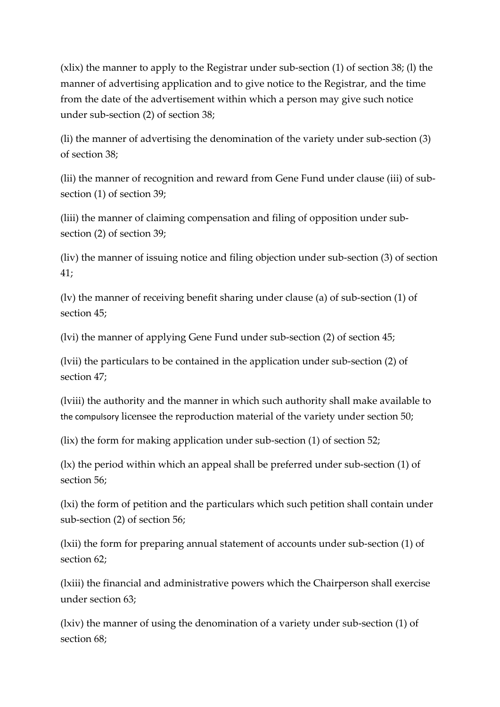(xlix) the manner to apply to the Registrar under sub-section (1) of section 38; (l) the manner of advertising application and to give notice to the Registrar, and the time from the date of the advertisement within which a person may give such notice under sub-section (2) of section 38;

(li) the manner of advertising the denomination of the variety under sub-section (3) of section 38;

(lii) the manner of recognition and reward from Gene Fund under clause (iii) of subsection (1) of section 39;

(liii) the manner of claiming compensation and filing of opposition under subsection (2) of section 39;

(liv) the manner of issuing notice and filing objection under sub-section (3) of section 41;

(lv) the manner of receiving benefit sharing under clause (a) of sub-section (1) of section 45;

(lvi) the manner of applying Gene Fund under sub-section (2) of section 45;

(lvii) the particulars to be contained in the application under sub-section (2) of section 47;

(lviii) the authority and the manner in which such authority shall make available to the compulsory licensee the reproduction material of the variety under section 50;

(lix) the form for making application under sub-section (1) of section 52;

(lx) the period within which an appeal shall be preferred under sub-section (1) of section 56;

(lxi) the form of petition and the particulars which such petition shall contain under sub-section (2) of section 56;

(lxii) the form for preparing annual statement of accounts under sub-section (1) of section 62;

(lxiii) the financial and administrative powers which the Chairperson shall exercise under section 63;

(lxiv) the manner of using the denomination of a variety under sub-section (1) of section 68;